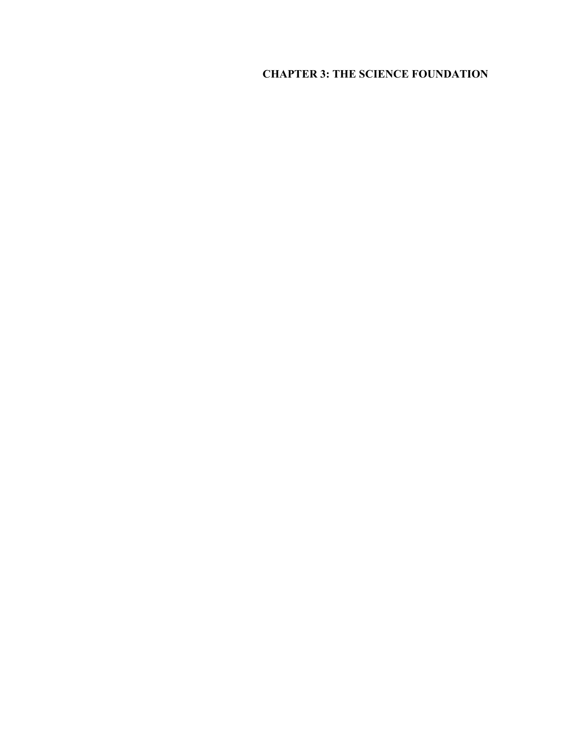# **CHAPTER 3: THE SCIENCE FOUNDATION**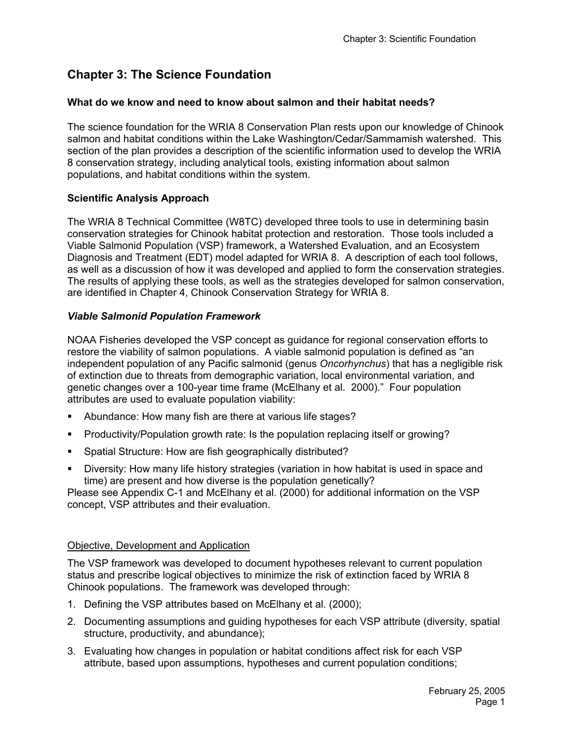# **Chapter 3: The Science Foundation**

# **What do we know and need to know about salmon and their habitat needs?**

The science foundation for the WRIA 8 Conservation Plan rests upon our knowledge of Chinook salmon and habitat conditions within the Lake Washington/Cedar/Sammamish watershed. This section of the plan provides a description of the scientific information used to develop the WRIA 8 conservation strategy, including analytical tools, existing information about salmon populations, and habitat conditions within the system.

## **Scientific Analysis Approach**

The WRIA 8 Technical Committee (W8TC) developed three tools to use in determining basin conservation strategies for Chinook habitat protection and restoration. Those tools included a Viable Salmonid Population (VSP) framework, a Watershed Evaluation, and an Ecosystem Diagnosis and Treatment (EDT) model adapted for WRIA 8. A description of each tool follows, as well as a discussion of how it was developed and applied to form the conservation strategies. The results of applying these tools, as well as the strategies developed for salmon conservation, are identified in Chapter 4, Chinook Conservation Strategy for WRIA 8.

## *Viable Salmonid Population Framework*

NOAA Fisheries developed the VSP concept as guidance for regional conservation efforts to restore the viability of salmon populations. A viable salmonid population is defined as "an independent population of any Pacific salmonid (genus *Oncorhynchus*) that has a negligible risk of extinction due to threats from demographic variation, local environmental variation, and genetic changes over a 100-year time frame (McElhany et al. 2000)." Four population attributes are used to evaluate population viability:

- Abundance: How many fish are there at various life stages?
- Productivity/Population growth rate: Is the population replacing itself or growing?
- Spatial Structure: How are fish geographically distributed?
- Diversity: How many life history strategies (variation in how habitat is used in space and time) are present and how diverse is the population genetically?

Please see Appendix C-1 and McElhany et al. (2000) for additional information on the VSP concept, VSP attributes and their evaluation.

### Objective, Development and Application

The VSP framework was developed to document hypotheses relevant to current population status and prescribe logical objectives to minimize the risk of extinction faced by WRIA 8 Chinook populations. The framework was developed through:

- 1. Defining the VSP attributes based on McElhany et al. (2000);
- 2. Documenting assumptions and guiding hypotheses for each VSP attribute (diversity, spatial structure, productivity, and abundance);
- 3. Evaluating how changes in population or habitat conditions affect risk for each VSP attribute, based upon assumptions, hypotheses and current population conditions;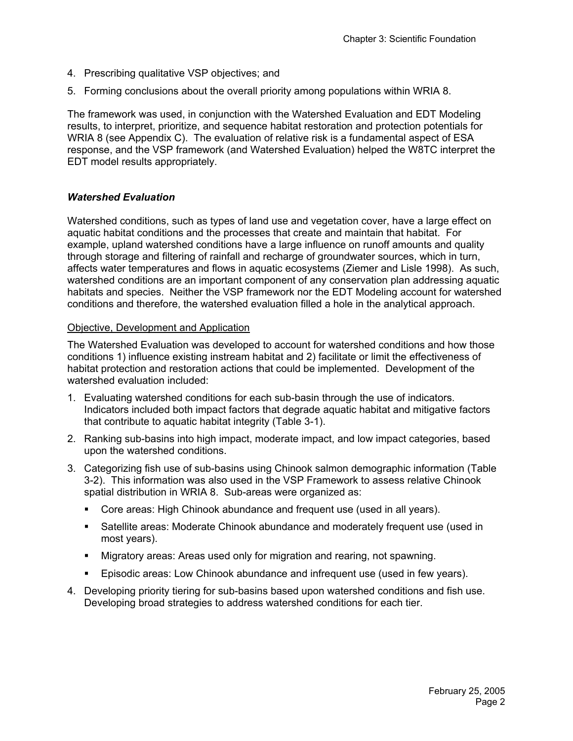- 4. Prescribing qualitative VSP objectives; and
- 5. Forming conclusions about the overall priority among populations within WRIA 8.

The framework was used, in conjunction with the Watershed Evaluation and EDT Modeling results, to interpret, prioritize, and sequence habitat restoration and protection potentials for WRIA 8 (see Appendix C). The evaluation of relative risk is a fundamental aspect of ESA response, and the VSP framework (and Watershed Evaluation) helped the W8TC interpret the EDT model results appropriately.

## *Watershed Evaluation*

Watershed conditions, such as types of land use and vegetation cover, have a large effect on aquatic habitat conditions and the processes that create and maintain that habitat. For example, upland watershed conditions have a large influence on runoff amounts and quality through storage and filtering of rainfall and recharge of groundwater sources, which in turn, affects water temperatures and flows in aquatic ecosystems (Ziemer and Lisle 1998). As such, watershed conditions are an important component of any conservation plan addressing aquatic habitats and species. Neither the VSP framework nor the EDT Modeling account for watershed conditions and therefore, the watershed evaluation filled a hole in the analytical approach.

### Objective, Development and Application

The Watershed Evaluation was developed to account for watershed conditions and how those conditions 1) influence existing instream habitat and 2) facilitate or limit the effectiveness of habitat protection and restoration actions that could be implemented. Development of the watershed evaluation included:

- 1. Evaluating watershed conditions for each sub-basin through the use of indicators. Indicators included both impact factors that degrade aquatic habitat and mitigative factors that contribute to aquatic habitat integrity (Table 3-1).
- 2. Ranking sub-basins into high impact, moderate impact, and low impact categories, based upon the watershed conditions.
- 3. Categorizing fish use of sub-basins using Chinook salmon demographic information (Table 3-2). This information was also used in the VSP Framework to assess relative Chinook spatial distribution in WRIA 8. Sub-areas were organized as:
	- Core areas: High Chinook abundance and frequent use (used in all years).
	- Satellite areas: Moderate Chinook abundance and moderately frequent use (used in most years).
	- Migratory areas: Areas used only for migration and rearing, not spawning.
	- Episodic areas: Low Chinook abundance and infrequent use (used in few years).
- 4. Developing priority tiering for sub-basins based upon watershed conditions and fish use. Developing broad strategies to address watershed conditions for each tier.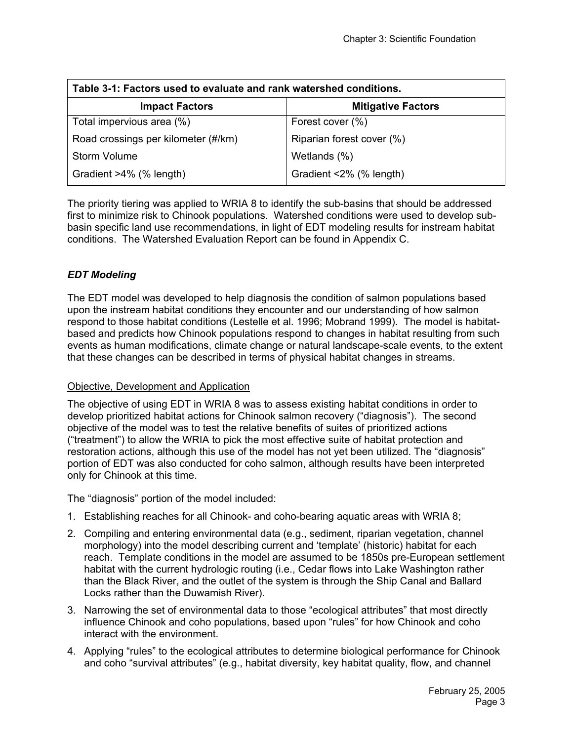| Table 3-1: Factors used to evaluate and rank watershed conditions. |                           |  |  |  |  |  |  |  |
|--------------------------------------------------------------------|---------------------------|--|--|--|--|--|--|--|
| <b>Impact Factors</b>                                              | <b>Mitigative Factors</b> |  |  |  |  |  |  |  |
| Total impervious area (%)                                          | Forest cover (%)          |  |  |  |  |  |  |  |
| Road crossings per kilometer (#/km)                                | Riparian forest cover (%) |  |  |  |  |  |  |  |
| <b>Storm Volume</b>                                                | Wetlands (%)              |  |  |  |  |  |  |  |
| Gradient >4% (% length)                                            | Gradient <2% (% length)   |  |  |  |  |  |  |  |

The priority tiering was applied to WRIA 8 to identify the sub-basins that should be addressed first to minimize risk to Chinook populations. Watershed conditions were used to develop subbasin specific land use recommendations, in light of EDT modeling results for instream habitat conditions. The Watershed Evaluation Report can be found in Appendix C.

# *EDT Modeling*

The EDT model was developed to help diagnosis the condition of salmon populations based upon the instream habitat conditions they encounter and our understanding of how salmon respond to those habitat conditions (Lestelle et al. 1996; Mobrand 1999). The model is habitatbased and predicts how Chinook populations respond to changes in habitat resulting from such events as human modifications, climate change or natural landscape-scale events, to the extent that these changes can be described in terms of physical habitat changes in streams.

### Objective, Development and Application

The objective of using EDT in WRIA 8 was to assess existing habitat conditions in order to develop prioritized habitat actions for Chinook salmon recovery ("diagnosis"). The second objective of the model was to test the relative benefits of suites of prioritized actions ("treatment") to allow the WRIA to pick the most effective suite of habitat protection and restoration actions, although this use of the model has not yet been utilized. The "diagnosis" portion of EDT was also conducted for coho salmon, although results have been interpreted only for Chinook at this time.

The "diagnosis" portion of the model included:

- 1. Establishing reaches for all Chinook- and coho-bearing aquatic areas with WRIA 8;
- 2. Compiling and entering environmental data (e.g., sediment, riparian vegetation, channel morphology) into the model describing current and 'template' (historic) habitat for each reach. Template conditions in the model are assumed to be 1850s pre-European settlement habitat with the current hydrologic routing (i.e., Cedar flows into Lake Washington rather than the Black River, and the outlet of the system is through the Ship Canal and Ballard Locks rather than the Duwamish River).
- 3. Narrowing the set of environmental data to those "ecological attributes" that most directly influence Chinook and coho populations, based upon "rules" for how Chinook and coho interact with the environment.
- 4. Applying "rules" to the ecological attributes to determine biological performance for Chinook and coho "survival attributes" (e.g., habitat diversity, key habitat quality, flow, and channel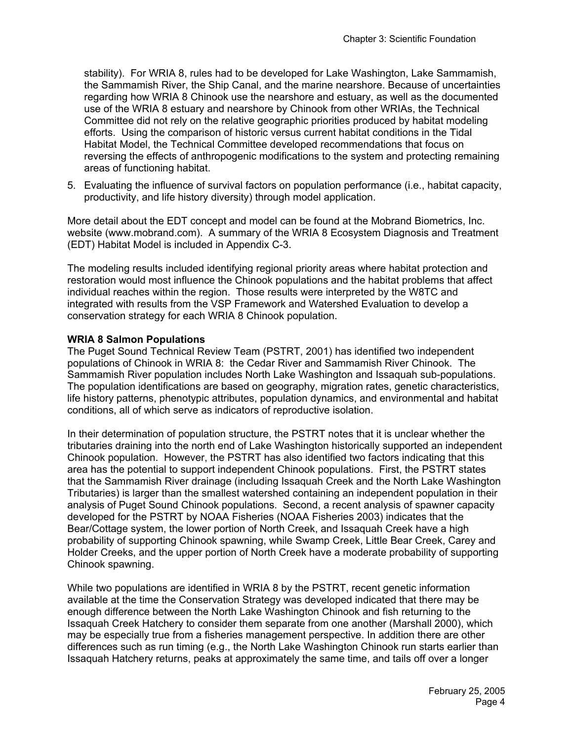stability). For WRIA 8, rules had to be developed for Lake Washington, Lake Sammamish, the Sammamish River, the Ship Canal, and the marine nearshore. Because of uncertainties regarding how WRIA 8 Chinook use the nearshore and estuary, as well as the documented use of the WRIA 8 estuary and nearshore by Chinook from other WRIAs, the Technical Committee did not rely on the relative geographic priorities produced by habitat modeling efforts. Using the comparison of historic versus current habitat conditions in the Tidal Habitat Model, the Technical Committee developed recommendations that focus on reversing the effects of anthropogenic modifications to the system and protecting remaining areas of functioning habitat.

5. Evaluating the influence of survival factors on population performance (i.e., habitat capacity, productivity, and life history diversity) through model application.

More detail about the EDT concept and model can be found at the Mobrand Biometrics, Inc. website (www.mobrand.com). A summary of the WRIA 8 Ecosystem Diagnosis and Treatment (EDT) Habitat Model is included in Appendix C-3.

The modeling results included identifying regional priority areas where habitat protection and restoration would most influence the Chinook populations and the habitat problems that affect individual reaches within the region. Those results were interpreted by the W8TC and integrated with results from the VSP Framework and Watershed Evaluation to develop a conservation strategy for each WRIA 8 Chinook population.

#### **WRIA 8 Salmon Populations**

The Puget Sound Technical Review Team (PSTRT, 2001) has identified two independent populations of Chinook in WRIA 8: the Cedar River and Sammamish River Chinook. The Sammamish River population includes North Lake Washington and Issaquah sub-populations. The population identifications are based on geography, migration rates, genetic characteristics, life history patterns, phenotypic attributes, population dynamics, and environmental and habitat conditions, all of which serve as indicators of reproductive isolation.

In their determination of population structure, the PSTRT notes that it is unclear whether the tributaries draining into the north end of Lake Washington historically supported an independent Chinook population. However, the PSTRT has also identified two factors indicating that this area has the potential to support independent Chinook populations. First, the PSTRT states that the Sammamish River drainage (including Issaquah Creek and the North Lake Washington Tributaries) is larger than the smallest watershed containing an independent population in their analysis of Puget Sound Chinook populations. Second, a recent analysis of spawner capacity developed for the PSTRT by NOAA Fisheries (NOAA Fisheries 2003) indicates that the Bear/Cottage system, the lower portion of North Creek, and Issaquah Creek have a high probability of supporting Chinook spawning, while Swamp Creek, Little Bear Creek, Carey and Holder Creeks, and the upper portion of North Creek have a moderate probability of supporting Chinook spawning.

While two populations are identified in WRIA 8 by the PSTRT, recent genetic information available at the time the Conservation Strategy was developed indicated that there may be enough difference between the North Lake Washington Chinook and fish returning to the Issaquah Creek Hatchery to consider them separate from one another (Marshall 2000), which may be especially true from a fisheries management perspective. In addition there are other differences such as run timing (e.g., the North Lake Washington Chinook run starts earlier than Issaquah Hatchery returns, peaks at approximately the same time, and tails off over a longer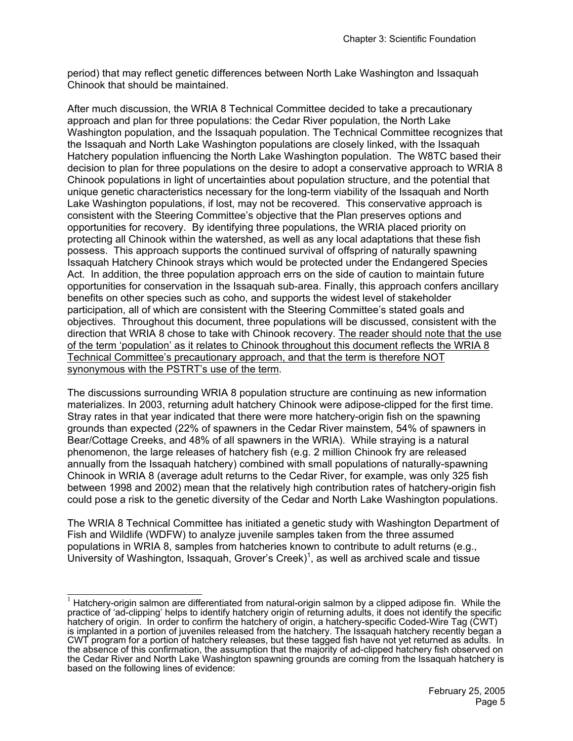period) that may reflect genetic differences between North Lake Washington and Issaquah Chinook that should be maintained.

After much discussion, the WRIA 8 Technical Committee decided to take a precautionary approach and plan for three populations: the Cedar River population, the North Lake Washington population, and the Issaquah population. The Technical Committee recognizes that the Issaquah and North Lake Washington populations are closely linked, with the Issaquah Hatchery population influencing the North Lake Washington population. The W8TC based their decision to plan for three populations on the desire to adopt a conservative approach to WRIA 8 Chinook populations in light of uncertainties about population structure, and the potential that unique genetic characteristics necessary for the long-term viability of the Issaquah and North Lake Washington populations, if lost, may not be recovered. This conservative approach is consistent with the Steering Committee's objective that the Plan preserves options and opportunities for recovery. By identifying three populations, the WRIA placed priority on protecting all Chinook within the watershed, as well as any local adaptations that these fish possess. This approach supports the continued survival of offspring of naturally spawning Issaquah Hatchery Chinook strays which would be protected under the Endangered Species Act. In addition, the three population approach errs on the side of caution to maintain future opportunities for conservation in the Issaquah sub-area. Finally, this approach confers ancillary benefits on other species such as coho, and supports the widest level of stakeholder participation, all of which are consistent with the Steering Committee's stated goals and objectives. Throughout this document, three populations will be discussed, consistent with the direction that WRIA 8 chose to take with Chinook recovery. The reader should note that the use of the term 'population' as it relates to Chinook throughout this document reflects the WRIA 8 Technical Committee's precautionary approach, and that the term is therefore NOT synonymous with the PSTRT's use of the term.

The discussions surrounding WRIA 8 population structure are continuing as new information materializes. In 2003, returning adult hatchery Chinook were adipose-clipped for the first time. Stray rates in that year indicated that there were more hatchery-origin fish on the spawning grounds than expected (22% of spawners in the Cedar River mainstem, 54% of spawners in Bear/Cottage Creeks, and 48% of all spawners in the WRIA). While straying is a natural phenomenon, the large releases of hatchery fish (e.g. 2 million Chinook fry are released annually from the Issaquah hatchery) combined with small populations of naturally-spawning Chinook in WRIA 8 (average adult returns to the Cedar River, for example, was only 325 fish between 1998 and 2002) mean that the relatively high contribution rates of hatchery-origin fish could pose a risk to the genetic diversity of the Cedar and North Lake Washington populations.

The WRIA 8 Technical Committee has initiated a genetic study with Washington Department of Fish and Wildlife (WDFW) to analyze juvenile samples taken from the three assumed populations in WRIA 8, samples from hatcheries known to contribute to adult returns (e.g., University of Washington, Issaquah, Grover's Creek)<sup>1</sup>, as well as archived scale and tissue

 $\frac{1}{1}$  Hatchery-origin salmon are differentiated from natural-origin salmon by a clipped adipose fin. While the practice of 'ad-clipping' helps to identify hatchery origin of returning adults, it does not identify the specific hatchery of origin. In order to confirm the hatchery of origin, a hatchery-specific Coded-Wire Tag (CWT) is implanted in a portion of juveniles released from the hatchery. The Issaquah hatchery recently began a CWT program for a portion of hatchery releases, but these tagged fish have not yet returned as adults. In the absence of this confirmation, the assumption that the majority of ad-clipped hatchery fish observed on the Cedar River and North Lake Washington spawning grounds are coming from the Issaquah hatchery is based on the following lines of evidence: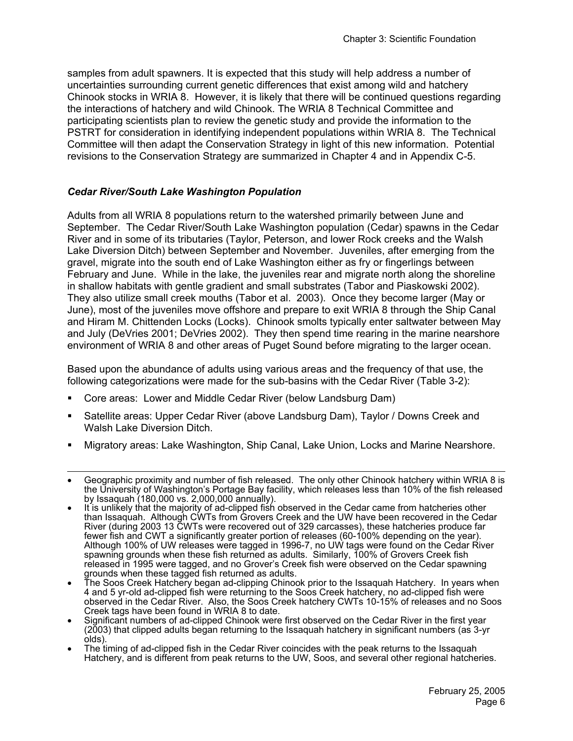samples from adult spawners. It is expected that this study will help address a number of uncertainties surrounding current genetic differences that exist among wild and hatchery Chinook stocks in WRIA 8. However, it is likely that there will be continued questions regarding the interactions of hatchery and wild Chinook. The WRIA 8 Technical Committee and participating scientists plan to review the genetic study and provide the information to the PSTRT for consideration in identifying independent populations within WRIA 8. The Technical Committee will then adapt the Conservation Strategy in light of this new information. Potential revisions to the Conservation Strategy are summarized in Chapter 4 and in Appendix C-5.

# *Cedar River/South Lake Washington Population*

Adults from all WRIA 8 populations return to the watershed primarily between June and September. The Cedar River/South Lake Washington population (Cedar) spawns in the Cedar River and in some of its tributaries (Taylor, Peterson, and lower Rock creeks and the Walsh Lake Diversion Ditch) between September and November. Juveniles, after emerging from the gravel, migrate into the south end of Lake Washington either as fry or fingerlings between February and June. While in the lake, the juveniles rear and migrate north along the shoreline in shallow habitats with gentle gradient and small substrates (Tabor and Piaskowski 2002). They also utilize small creek mouths (Tabor et al. 2003). Once they become larger (May or June), most of the juveniles move offshore and prepare to exit WRIA 8 through the Ship Canal and Hiram M. Chittenden Locks (Locks). Chinook smolts typically enter saltwater between May and July (DeVries 2001; DeVries 2002). They then spend time rearing in the marine nearshore environment of WRIA 8 and other areas of Puget Sound before migrating to the larger ocean.

Based upon the abundance of adults using various areas and the frequency of that use, the following categorizations were made for the sub-basins with the Cedar River (Table 3-2):

- Core areas: Lower and Middle Cedar River (below Landsburg Dam)
- Satellite areas: Upper Cedar River (above Landsburg Dam), Taylor / Downs Creek and Walsh Lake Diversion Ditch.
- Migratory areas: Lake Washington, Ship Canal, Lake Union, Locks and Marine Nearshore.
- l • Geographic proximity and number of fish released. The only other Chinook hatchery within WRIA 8 is the University of Washington's Portage Bay facility, which releases less than 10% of the fish released by Issaquah (180,000 vs. 2,000,000 annually).
- It is unlikely that the majority of ad-clipped fish observed in the Cedar came from hatcheries other than Issaquah. Although CWTs from Grovers Creek and the UW have been recovered in the Cedar River (during 2003 13 CWTs were recovered out of 329 carcasses), these hatcheries produce far fewer fish and CWT a significantly greater portion of releases (60-100% depending on the year). Although 100% of UW releases were tagged in 1996-7, no UW tags were found on the Cedar River spawning grounds when these fish returned as adults. Similarly, 100% of Grovers Creek fish released in 1995 were tagged, and no Grover's Creek fish were observed on the Cedar spawning
- grounds when these tagged fish returned as adults. The Soos Creek Hatchery began ad-clipping Chinook prior to the Issaquah Hatchery. In years when 4 and 5 yr-old ad-clipped fish were returning to the Soos Creek hatchery, no ad-clipped fish were observed in the Cedar River. Also, the Soos Creek hatchery CWTs 10-15% of releases and no Soos
- Creek tags have been found in WRIA 8 to date. Significant numbers of ad-clipped Chinook were first observed on the Cedar River in the first year (2003) that clipped adults began returning to the Issaquah hatchery in significant numbers (as 3-yr olds).
- The timing of ad-clipped fish in the Cedar River coincides with the peak returns to the Issaquah Hatchery, and is different from peak returns to the UW, Soos, and several other regional hatcheries.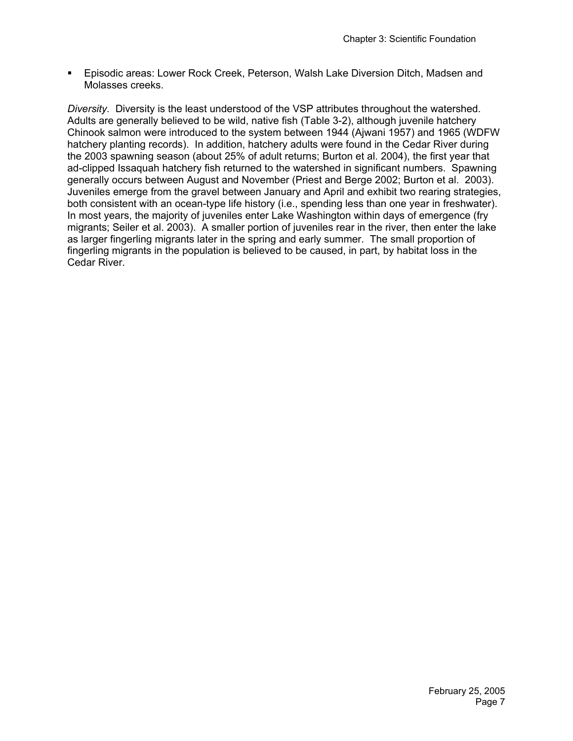Episodic areas: Lower Rock Creek, Peterson, Walsh Lake Diversion Ditch, Madsen and Molasses creeks.

*Diversity.* Diversity is the least understood of the VSP attributes throughout the watershed. Adults are generally believed to be wild, native fish (Table 3-2), although juvenile hatchery Chinook salmon were introduced to the system between 1944 (Ajwani 1957) and 1965 (WDFW hatchery planting records). In addition, hatchery adults were found in the Cedar River during the 2003 spawning season (about 25% of adult returns; Burton et al. 2004), the first year that ad-clipped Issaquah hatchery fish returned to the watershed in significant numbers. Spawning generally occurs between August and November (Priest and Berge 2002; Burton et al. 2003). Juveniles emerge from the gravel between January and April and exhibit two rearing strategies, both consistent with an ocean-type life history (i.e., spending less than one year in freshwater). In most years, the majority of juveniles enter Lake Washington within days of emergence (fry migrants; Seiler et al. 2003). A smaller portion of juveniles rear in the river, then enter the lake as larger fingerling migrants later in the spring and early summer. The small proportion of fingerling migrants in the population is believed to be caused, in part, by habitat loss in the Cedar River.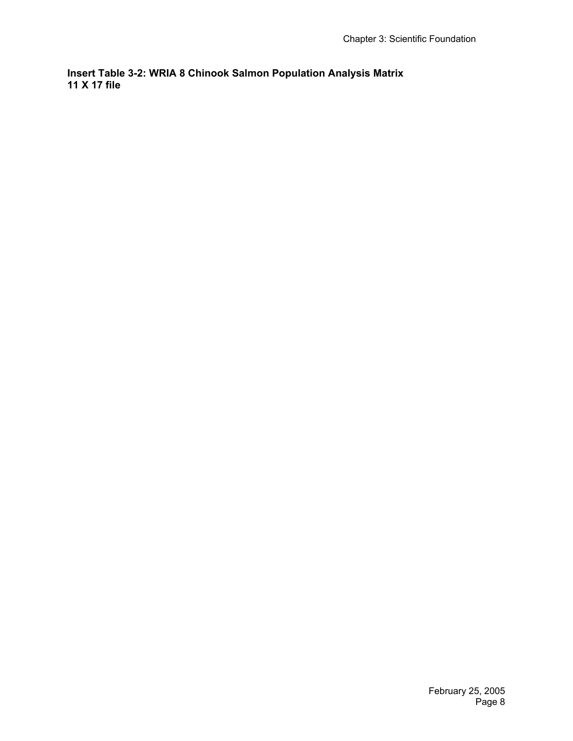**Insert Table 3-2: WRIA 8 Chinook Salmon Population Analysis Matrix 11 X 17 file**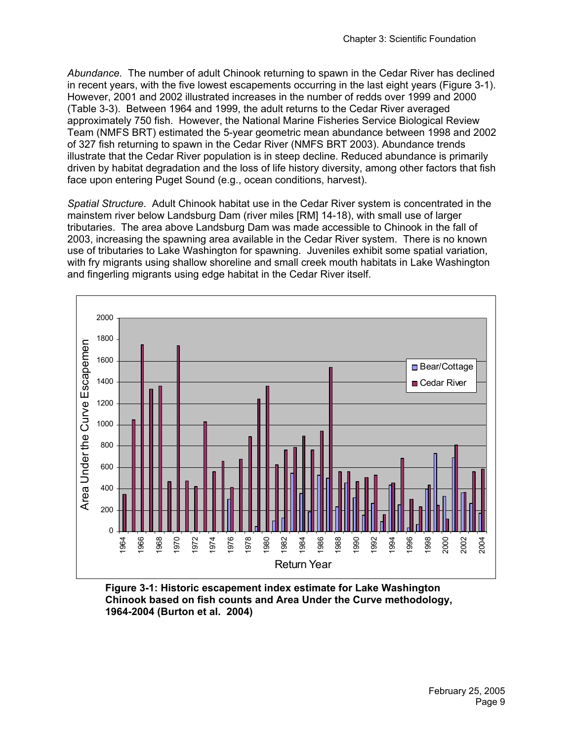*Abundance.* The number of adult Chinook returning to spawn in the Cedar River has declined in recent years, with the five lowest escapements occurring in the last eight years (Figure 3-1). However, 2001 and 2002 illustrated increases in the number of redds over 1999 and 2000 (Table 3-3). Between 1964 and 1999, the adult returns to the Cedar River averaged approximately 750 fish. However, the National Marine Fisheries Service Biological Review Team (NMFS BRT) estimated the 5-year geometric mean abundance between 1998 and 2002 of 327 fish returning to spawn in the Cedar River (NMFS BRT 2003). Abundance trends illustrate that the Cedar River population is in steep decline. Reduced abundance is primarily driven by habitat degradation and the loss of life history diversity, among other factors that fish face upon entering Puget Sound (e.g., ocean conditions, harvest).

*Spatial Structure*. Adult Chinook habitat use in the Cedar River system is concentrated in the mainstem river below Landsburg Dam (river miles [RM] 14-18), with small use of larger tributaries. The area above Landsburg Dam was made accessible to Chinook in the fall of 2003, increasing the spawning area available in the Cedar River system. There is no known use of tributaries to Lake Washington for spawning. Juveniles exhibit some spatial variation, with fry migrants using shallow shoreline and small creek mouth habitats in Lake Washington and fingerling migrants using edge habitat in the Cedar River itself.



**Figure 3-1: Historic escapement index estimate for Lake Washington Chinook based on fish counts and Area Under the Curve methodology, 1964-2004 (Burton et al. 2004)**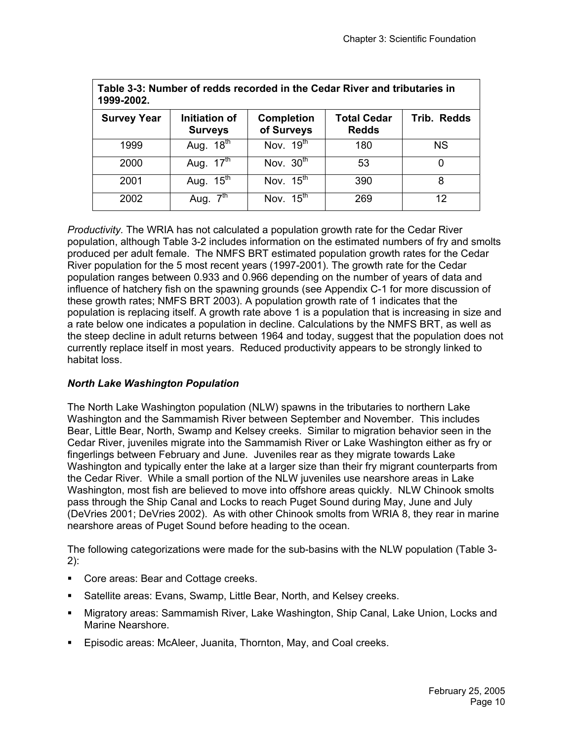| Table 3-3: Number of redds recorded in the Cedar River and tributaries in<br>1999-2002. |                                 |                                 |                                    |             |  |  |  |  |  |  |  |
|-----------------------------------------------------------------------------------------|---------------------------------|---------------------------------|------------------------------------|-------------|--|--|--|--|--|--|--|
| <b>Survey Year</b>                                                                      | Initiation of<br><b>Surveys</b> | <b>Completion</b><br>of Surveys | <b>Total Cedar</b><br><b>Redds</b> | Trib. Redds |  |  |  |  |  |  |  |
| 1999                                                                                    | Aug. $18^{\text{th}}$           | Nov. $19th$                     | 180                                | <b>NS</b>   |  |  |  |  |  |  |  |
| 2000                                                                                    | Aug. $17^{\text{th}}$           | Nov. $30^{\overline{th}}$       | 53                                 |             |  |  |  |  |  |  |  |
| 2001                                                                                    | Aug. $15^{\text{th}}$           | Nov. $15th$                     | 390                                | 8           |  |  |  |  |  |  |  |
| 2002                                                                                    | 7 <sup>th</sup><br>Aug.         | Nov. $15^{\text{th}}$           | 269                                | 12          |  |  |  |  |  |  |  |

*Productivity.* The WRIA has not calculated a population growth rate for the Cedar River population, although Table 3-2 includes information on the estimated numbers of fry and smolts produced per adult female. The NMFS BRT estimated population growth rates for the Cedar River population for the 5 most recent years (1997-2001). The growth rate for the Cedar population ranges between 0.933 and 0.966 depending on the number of years of data and influence of hatchery fish on the spawning grounds (see Appendix C-1 for more discussion of these growth rates; NMFS BRT 2003). A population growth rate of 1 indicates that the population is replacing itself. A growth rate above 1 is a population that is increasing in size and a rate below one indicates a population in decline. Calculations by the NMFS BRT, as well as the steep decline in adult returns between 1964 and today, suggest that the population does not currently replace itself in most years. Reduced productivity appears to be strongly linked to habitat loss.

# *North Lake Washington Population*

The North Lake Washington population (NLW) spawns in the tributaries to northern Lake Washington and the Sammamish River between September and November. This includes Bear, Little Bear, North, Swamp and Kelsey creeks. Similar to migration behavior seen in the Cedar River, juveniles migrate into the Sammamish River or Lake Washington either as fry or fingerlings between February and June. Juveniles rear as they migrate towards Lake Washington and typically enter the lake at a larger size than their fry migrant counterparts from the Cedar River. While a small portion of the NLW juveniles use nearshore areas in Lake Washington, most fish are believed to move into offshore areas quickly. NLW Chinook smolts pass through the Ship Canal and Locks to reach Puget Sound during May, June and July (DeVries 2001; DeVries 2002). As with other Chinook smolts from WRIA 8, they rear in marine nearshore areas of Puget Sound before heading to the ocean.

The following categorizations were made for the sub-basins with the NLW population (Table 3- 2):

- Core areas: Bear and Cottage creeks.
- Satellite areas: Evans, Swamp, Little Bear, North, and Kelsey creeks.
- Migratory areas: Sammamish River, Lake Washington, Ship Canal, Lake Union, Locks and Marine Nearshore.
- **Episodic areas: McAleer, Juanita, Thornton, May, and Coal creeks.**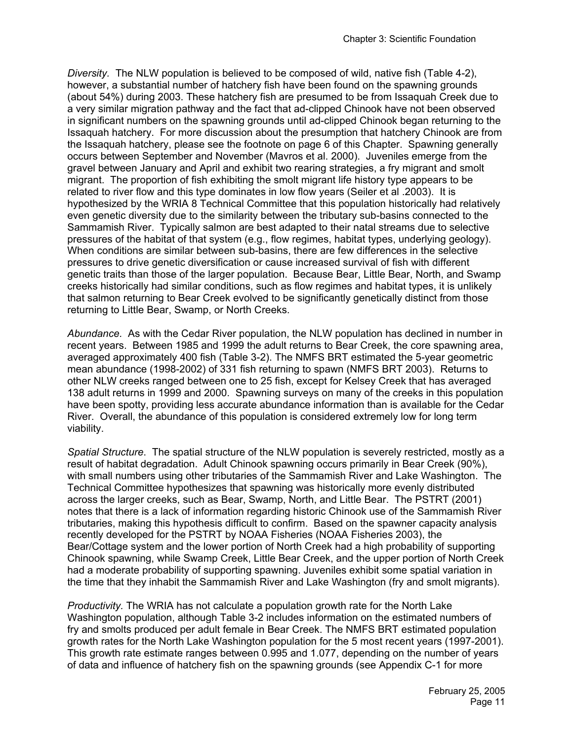*Diversity.* The NLW population is believed to be composed of wild, native fish (Table 4-2), however, a substantial number of hatchery fish have been found on the spawning grounds (about 54%) during 2003. These hatchery fish are presumed to be from Issaquah Creek due to a very similar migration pathway and the fact that ad-clipped Chinook have not been observed in significant numbers on the spawning grounds until ad-clipped Chinook began returning to the Issaquah hatchery. For more discussion about the presumption that hatchery Chinook are from the Issaquah hatchery, please see the footnote on page 6 of this Chapter. Spawning generally occurs between September and November (Mavros et al. 2000). Juveniles emerge from the gravel between January and April and exhibit two rearing strategies, a fry migrant and smolt migrant. The proportion of fish exhibiting the smolt migrant life history type appears to be related to river flow and this type dominates in low flow years (Seiler et al .2003). It is hypothesized by the WRIA 8 Technical Committee that this population historically had relatively even genetic diversity due to the similarity between the tributary sub-basins connected to the Sammamish River. Typically salmon are best adapted to their natal streams due to selective pressures of the habitat of that system (e.g., flow regimes, habitat types, underlying geology). When conditions are similar between sub-basins, there are few differences in the selective pressures to drive genetic diversification or cause increased survival of fish with different genetic traits than those of the larger population. Because Bear, Little Bear, North, and Swamp creeks historically had similar conditions, such as flow regimes and habitat types, it is unlikely that salmon returning to Bear Creek evolved to be significantly genetically distinct from those returning to Little Bear, Swamp, or North Creeks.

*Abundance.* As with the Cedar River population, the NLW population has declined in number in recent years. Between 1985 and 1999 the adult returns to Bear Creek, the core spawning area, averaged approximately 400 fish (Table 3-2). The NMFS BRT estimated the 5-year geometric mean abundance (1998-2002) of 331 fish returning to spawn (NMFS BRT 2003). Returns to other NLW creeks ranged between one to 25 fish, except for Kelsey Creek that has averaged 138 adult returns in 1999 and 2000. Spawning surveys on many of the creeks in this population have been spotty, providing less accurate abundance information than is available for the Cedar River. Overall, the abundance of this population is considered extremely low for long term viability.

*Spatial Structure*. The spatial structure of the NLW population is severely restricted, mostly as a result of habitat degradation. Adult Chinook spawning occurs primarily in Bear Creek (90%), with small numbers using other tributaries of the Sammamish River and Lake Washington. The Technical Committee hypothesizes that spawning was historically more evenly distributed across the larger creeks, such as Bear, Swamp, North, and Little Bear. The PSTRT (2001) notes that there is a lack of information regarding historic Chinook use of the Sammamish River tributaries, making this hypothesis difficult to confirm. Based on the spawner capacity analysis recently developed for the PSTRT by NOAA Fisheries (NOAA Fisheries 2003), the Bear/Cottage system and the lower portion of North Creek had a high probability of supporting Chinook spawning, while Swamp Creek, Little Bear Creek, and the upper portion of North Creek had a moderate probability of supporting spawning. Juveniles exhibit some spatial variation in the time that they inhabit the Sammamish River and Lake Washington (fry and smolt migrants).

*Productivity.* The WRIA has not calculate a population growth rate for the North Lake Washington population, although Table 3-2 includes information on the estimated numbers of fry and smolts produced per adult female in Bear Creek. The NMFS BRT estimated population growth rates for the North Lake Washington population for the 5 most recent years (1997-2001). This growth rate estimate ranges between 0.995 and 1.077, depending on the number of years of data and influence of hatchery fish on the spawning grounds (see Appendix C-1 for more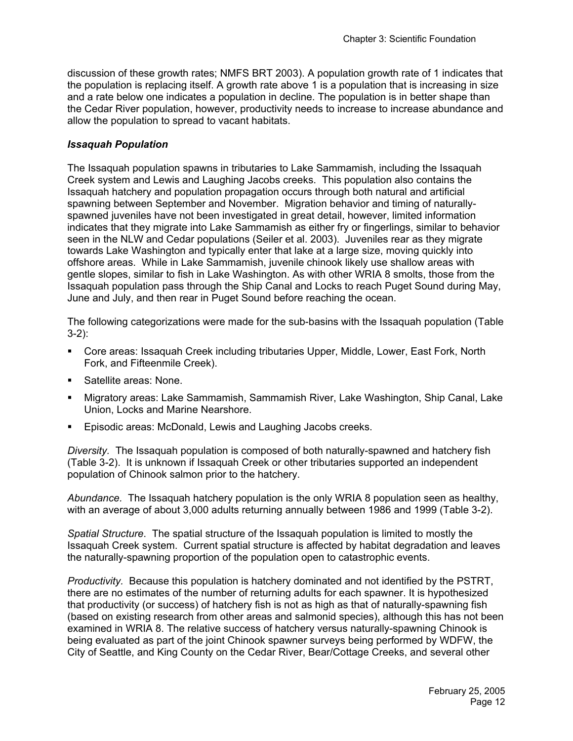discussion of these growth rates; NMFS BRT 2003). A population growth rate of 1 indicates that the population is replacing itself. A growth rate above 1 is a population that is increasing in size and a rate below one indicates a population in decline. The population is in better shape than the Cedar River population, however, productivity needs to increase to increase abundance and allow the population to spread to vacant habitats.

#### *Issaquah Population*

The Issaquah population spawns in tributaries to Lake Sammamish, including the Issaquah Creek system and Lewis and Laughing Jacobs creeks. This population also contains the Issaquah hatchery and population propagation occurs through both natural and artificial spawning between September and November. Migration behavior and timing of naturallyspawned juveniles have not been investigated in great detail, however, limited information indicates that they migrate into Lake Sammamish as either fry or fingerlings, similar to behavior seen in the NLW and Cedar populations (Seiler et al. 2003). Juveniles rear as they migrate towards Lake Washington and typically enter that lake at a large size, moving quickly into offshore areas. While in Lake Sammamish, juvenile chinook likely use shallow areas with gentle slopes, similar to fish in Lake Washington. As with other WRIA 8 smolts, those from the Issaquah population pass through the Ship Canal and Locks to reach Puget Sound during May, June and July, and then rear in Puget Sound before reaching the ocean.

The following categorizations were made for the sub-basins with the Issaquah population (Table 3-2):

- Core areas: Issaquah Creek including tributaries Upper, Middle, Lower, East Fork, North Fork, and Fifteenmile Creek).
- Satellite areas: None.
- Migratory areas: Lake Sammamish, Sammamish River, Lake Washington, Ship Canal, Lake Union, Locks and Marine Nearshore.
- **Episodic areas: McDonald, Lewis and Laughing Jacobs creeks.**

*Diversity.* The Issaquah population is composed of both naturally-spawned and hatchery fish (Table 3-2). It is unknown if Issaquah Creek or other tributaries supported an independent population of Chinook salmon prior to the hatchery.

*Abundance.* The Issaquah hatchery population is the only WRIA 8 population seen as healthy, with an average of about 3,000 adults returning annually between 1986 and 1999 (Table 3-2).

*Spatial Structure*. The spatial structure of the Issaquah population is limited to mostly the Issaquah Creek system. Current spatial structure is affected by habitat degradation and leaves the naturally-spawning proportion of the population open to catastrophic events.

*Productivity.* Because this population is hatchery dominated and not identified by the PSTRT, there are no estimates of the number of returning adults for each spawner. It is hypothesized that productivity (or success) of hatchery fish is not as high as that of naturally-spawning fish (based on existing research from other areas and salmonid species), although this has not been examined in WRIA 8. The relative success of hatchery versus naturally-spawning Chinook is being evaluated as part of the joint Chinook spawner surveys being performed by WDFW, the City of Seattle, and King County on the Cedar River, Bear/Cottage Creeks, and several other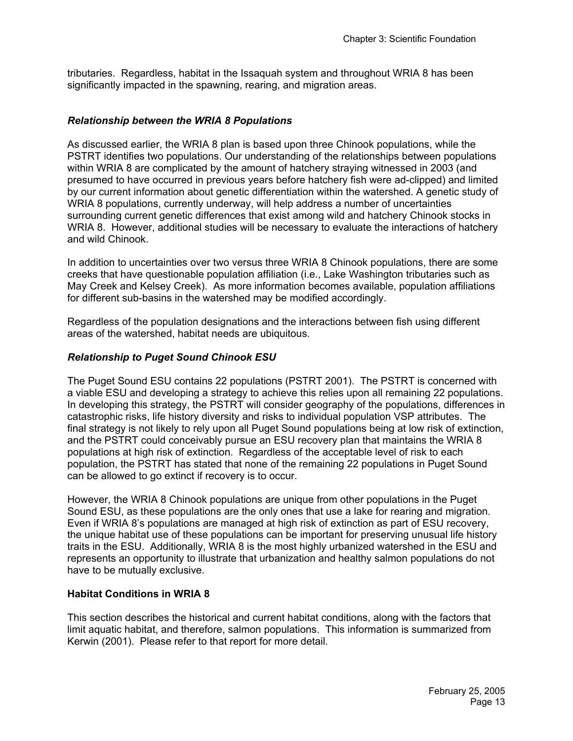tributaries. Regardless, habitat in the Issaquah system and throughout WRIA 8 has been significantly impacted in the spawning, rearing, and migration areas.

#### *Relationship between the WRIA 8 Populations*

As discussed earlier, the WRIA 8 plan is based upon three Chinook populations, while the PSTRT identifies two populations. Our understanding of the relationships between populations within WRIA 8 are complicated by the amount of hatchery straying witnessed in 2003 (and presumed to have occurred in previous years before hatchery fish were ad-clipped) and limited by our current information about genetic differentiation within the watershed. A genetic study of WRIA 8 populations, currently underway, will help address a number of uncertainties surrounding current genetic differences that exist among wild and hatchery Chinook stocks in WRIA 8. However, additional studies will be necessary to evaluate the interactions of hatchery and wild Chinook.

In addition to uncertainties over two versus three WRIA 8 Chinook populations, there are some creeks that have questionable population affiliation (i.e., Lake Washington tributaries such as May Creek and Kelsey Creek). As more information becomes available, population affiliations for different sub-basins in the watershed may be modified accordingly.

Regardless of the population designations and the interactions between fish using different areas of the watershed, habitat needs are ubiquitous.

#### *Relationship to Puget Sound Chinook ESU*

The Puget Sound ESU contains 22 populations (PSTRT 2001). The PSTRT is concerned with a viable ESU and developing a strategy to achieve this relies upon all remaining 22 populations. In developing this strategy, the PSTRT will consider geography of the populations, differences in catastrophic risks, life history diversity and risks to individual population VSP attributes. The final strategy is not likely to rely upon all Puget Sound populations being at low risk of extinction, and the PSTRT could conceivably pursue an ESU recovery plan that maintains the WRIA 8 populations at high risk of extinction. Regardless of the acceptable level of risk to each population, the PSTRT has stated that none of the remaining 22 populations in Puget Sound can be allowed to go extinct if recovery is to occur.

However, the WRIA 8 Chinook populations are unique from other populations in the Puget Sound ESU, as these populations are the only ones that use a lake for rearing and migration. Even if WRIA 8's populations are managed at high risk of extinction as part of ESU recovery, the unique habitat use of these populations can be important for preserving unusual life history traits in the ESU. Additionally, WRIA 8 is the most highly urbanized watershed in the ESU and represents an opportunity to illustrate that urbanization and healthy salmon populations do not have to be mutually exclusive.

#### **Habitat Conditions in WRIA 8**

This section describes the historical and current habitat conditions, along with the factors that limit aquatic habitat, and therefore, salmon populations. This information is summarized from Kerwin (2001). Please refer to that report for more detail.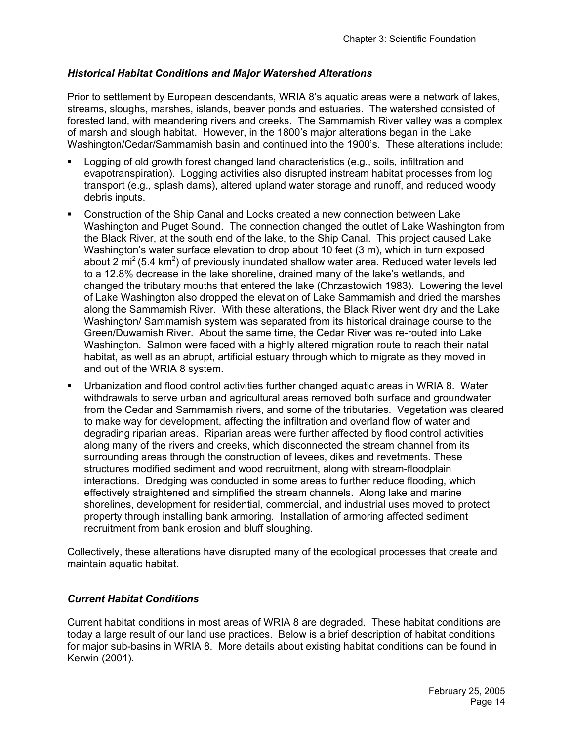## *Historical Habitat Conditions and Major Watershed Alterations*

Prior to settlement by European descendants, WRIA 8's aquatic areas were a network of lakes, streams, sloughs, marshes, islands, beaver ponds and estuaries. The watershed consisted of forested land, with meandering rivers and creeks. The Sammamish River valley was a complex of marsh and slough habitat. However, in the 1800's major alterations began in the Lake Washington/Cedar/Sammamish basin and continued into the 1900's. These alterations include:

- Logging of old growth forest changed land characteristics (e.g., soils, infiltration and evapotranspiration). Logging activities also disrupted instream habitat processes from log transport (e.g., splash dams), altered upland water storage and runoff, and reduced woody debris inputs.
- Construction of the Ship Canal and Locks created a new connection between Lake Washington and Puget Sound. The connection changed the outlet of Lake Washington from the Black River, at the south end of the lake, to the Ship Canal. This project caused Lake Washington's water surface elevation to drop about 10 feet (3 m), which in turn exposed about 2 mi<sup>2</sup> (5.4 km<sup>2</sup>) of previously inundated shallow water area. Reduced water levels led to a 12.8% decrease in the lake shoreline, drained many of the lake's wetlands, and changed the tributary mouths that entered the lake (Chrzastowich 1983). Lowering the level of Lake Washington also dropped the elevation of Lake Sammamish and dried the marshes along the Sammamish River. With these alterations, the Black River went dry and the Lake Washington/ Sammamish system was separated from its historical drainage course to the Green/Duwamish River. About the same time, the Cedar River was re-routed into Lake Washington. Salmon were faced with a highly altered migration route to reach their natal habitat, as well as an abrupt, artificial estuary through which to migrate as they moved in and out of the WRIA 8 system.
- Urbanization and flood control activities further changed aquatic areas in WRIA 8. Water withdrawals to serve urban and agricultural areas removed both surface and groundwater from the Cedar and Sammamish rivers, and some of the tributaries. Vegetation was cleared to make way for development, affecting the infiltration and overland flow of water and degrading riparian areas. Riparian areas were further affected by flood control activities along many of the rivers and creeks, which disconnected the stream channel from its surrounding areas through the construction of levees, dikes and revetments. These structures modified sediment and wood recruitment, along with stream-floodplain interactions. Dredging was conducted in some areas to further reduce flooding, which effectively straightened and simplified the stream channels. Along lake and marine shorelines, development for residential, commercial, and industrial uses moved to protect property through installing bank armoring. Installation of armoring affected sediment recruitment from bank erosion and bluff sloughing.

Collectively, these alterations have disrupted many of the ecological processes that create and maintain aquatic habitat.

### *Current Habitat Conditions*

Current habitat conditions in most areas of WRIA 8 are degraded. These habitat conditions are today a large result of our land use practices. Below is a brief description of habitat conditions for major sub-basins in WRIA 8. More details about existing habitat conditions can be found in Kerwin (2001).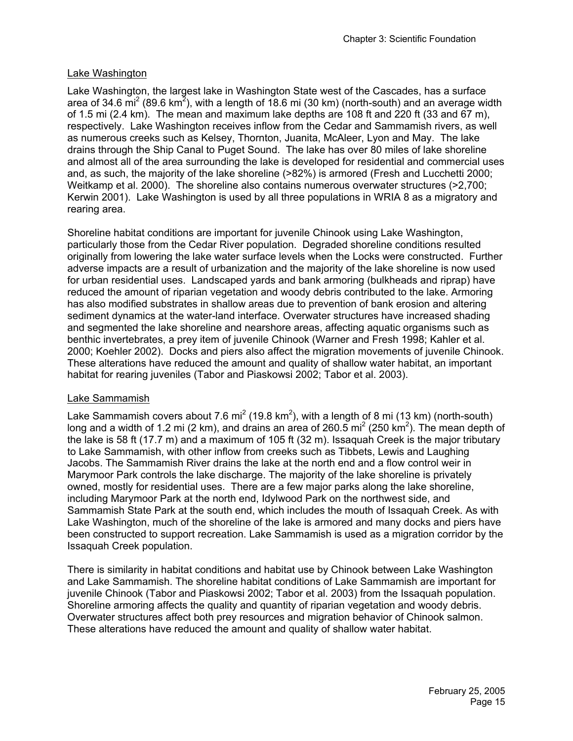# Lake Washington

Lake Washington, the largest lake in Washington State west of the Cascades, has a surface area of 34.6 mi<sup>2</sup> (89.6 km<sup>2</sup>), with a length of 18.6 mi (30 km) (north-south) and an average width of 1.5 mi (2.4 km). The mean and maximum lake depths are 108 ft and 220 ft (33 and 67 m), respectively. Lake Washington receives inflow from the Cedar and Sammamish rivers, as well as numerous creeks such as Kelsey, Thornton, Juanita, McAleer, Lyon and May. The lake drains through the Ship Canal to Puget Sound. The lake has over 80 miles of lake shoreline and almost all of the area surrounding the lake is developed for residential and commercial uses and, as such, the majority of the lake shoreline (>82%) is armored (Fresh and Lucchetti 2000; Weitkamp et al. 2000). The shoreline also contains numerous overwater structures (>2,700; Kerwin 2001). Lake Washington is used by all three populations in WRIA 8 as a migratory and rearing area.

Shoreline habitat conditions are important for juvenile Chinook using Lake Washington, particularly those from the Cedar River population. Degraded shoreline conditions resulted originally from lowering the lake water surface levels when the Locks were constructed. Further adverse impacts are a result of urbanization and the majority of the lake shoreline is now used for urban residential uses. Landscaped yards and bank armoring (bulkheads and riprap) have reduced the amount of riparian vegetation and woody debris contributed to the lake. Armoring has also modified substrates in shallow areas due to prevention of bank erosion and altering sediment dynamics at the water-land interface. Overwater structures have increased shading and segmented the lake shoreline and nearshore areas, affecting aquatic organisms such as benthic invertebrates, a prey item of juvenile Chinook (Warner and Fresh 1998; Kahler et al. 2000; Koehler 2002). Docks and piers also affect the migration movements of juvenile Chinook. These alterations have reduced the amount and quality of shallow water habitat, an important habitat for rearing juveniles (Tabor and Piaskowsi 2002; Tabor et al. 2003).

### Lake Sammamish

Lake Sammamish covers about 7.6 mi<sup>2</sup> (19.8 km<sup>2</sup>), with a length of 8 mi (13 km) (north-south) long and a width of 1.2 mi (2 km), and drains an area of 260.5 mi<sup>2</sup> (250 km<sup>2</sup>). The mean depth of the lake is 58 ft (17.7 m) and a maximum of 105 ft (32 m). Issaquah Creek is the major tributary to Lake Sammamish, with other inflow from creeks such as Tibbets, Lewis and Laughing Jacobs. The Sammamish River drains the lake at the north end and a flow control weir in Marymoor Park controls the lake discharge. The majority of the lake shoreline is privately owned, mostly for residential uses. There are a few major parks along the lake shoreline, including Marymoor Park at the north end, Idylwood Park on the northwest side, and Sammamish State Park at the south end, which includes the mouth of Issaquah Creek. As with Lake Washington, much of the shoreline of the lake is armored and many docks and piers have been constructed to support recreation. Lake Sammamish is used as a migration corridor by the Issaquah Creek population.

There is similarity in habitat conditions and habitat use by Chinook between Lake Washington and Lake Sammamish. The shoreline habitat conditions of Lake Sammamish are important for juvenile Chinook (Tabor and Piaskowsi 2002; Tabor et al. 2003) from the Issaquah population. Shoreline armoring affects the quality and quantity of riparian vegetation and woody debris. Overwater structures affect both prey resources and migration behavior of Chinook salmon. These alterations have reduced the amount and quality of shallow water habitat.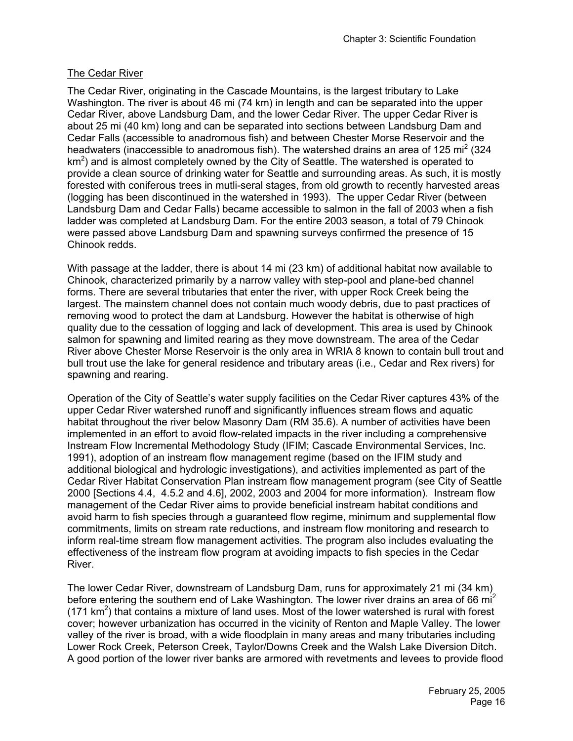# The Cedar River

The Cedar River, originating in the Cascade Mountains, is the largest tributary to Lake Washington. The river is about 46 mi (74 km) in length and can be separated into the upper Cedar River, above Landsburg Dam, and the lower Cedar River. The upper Cedar River is about 25 mi (40 km) long and can be separated into sections between Landsburg Dam and Cedar Falls (accessible to anadromous fish) and between Chester Morse Reservoir and the headwaters (inaccessible to anadromous fish). The watershed drains an area of 125 mi<sup>2</sup> (324  $km<sup>2</sup>$ ) and is almost completely owned by the City of Seattle. The watershed is operated to provide a clean source of drinking water for Seattle and surrounding areas. As such, it is mostly forested with coniferous trees in mutli-seral stages, from old growth to recently harvested areas (logging has been discontinued in the watershed in 1993). The upper Cedar River (between Landsburg Dam and Cedar Falls) became accessible to salmon in the fall of 2003 when a fish ladder was completed at Landsburg Dam. For the entire 2003 season, a total of 79 Chinook were passed above Landsburg Dam and spawning surveys confirmed the presence of 15 Chinook redds.

With passage at the ladder, there is about 14 mi (23 km) of additional habitat now available to Chinook, characterized primarily by a narrow valley with step-pool and plane-bed channel forms. There are several tributaries that enter the river, with upper Rock Creek being the largest. The mainstem channel does not contain much woody debris, due to past practices of removing wood to protect the dam at Landsburg. However the habitat is otherwise of high quality due to the cessation of logging and lack of development. This area is used by Chinook salmon for spawning and limited rearing as they move downstream. The area of the Cedar River above Chester Morse Reservoir is the only area in WRIA 8 known to contain bull trout and bull trout use the lake for general residence and tributary areas (i.e., Cedar and Rex rivers) for spawning and rearing.

Operation of the City of Seattle's water supply facilities on the Cedar River captures 43% of the upper Cedar River watershed runoff and significantly influences stream flows and aquatic habitat throughout the river below Masonry Dam (RM 35.6). A number of activities have been implemented in an effort to avoid flow-related impacts in the river including a comprehensive Instream Flow Incremental Methodology Study (IFIM; Cascade Environmental Services, Inc. 1991), adoption of an instream flow management regime (based on the IFIM study and additional biological and hydrologic investigations), and activities implemented as part of the Cedar River Habitat Conservation Plan instream flow management program (see City of Seattle 2000 [Sections 4.4, 4.5.2 and 4.6], 2002, 2003 and 2004 for more information). Instream flow management of the Cedar River aims to provide beneficial instream habitat conditions and avoid harm to fish species through a guaranteed flow regime, minimum and supplemental flow commitments, limits on stream rate reductions, and instream flow monitoring and research to inform real-time stream flow management activities. The program also includes evaluating the effectiveness of the instream flow program at avoiding impacts to fish species in the Cedar River.

The lower Cedar River, downstream of Landsburg Dam, runs for approximately 21 mi (34 km) before entering the southern end of Lake Washington. The lower river drains an area of 66 mi<sup>2</sup> (171  $km<sup>2</sup>$ ) that contains a mixture of land uses. Most of the lower watershed is rural with forest cover; however urbanization has occurred in the vicinity of Renton and Maple Valley. The lower valley of the river is broad, with a wide floodplain in many areas and many tributaries including Lower Rock Creek, Peterson Creek, Taylor/Downs Creek and the Walsh Lake Diversion Ditch. A good portion of the lower river banks are armored with revetments and levees to provide flood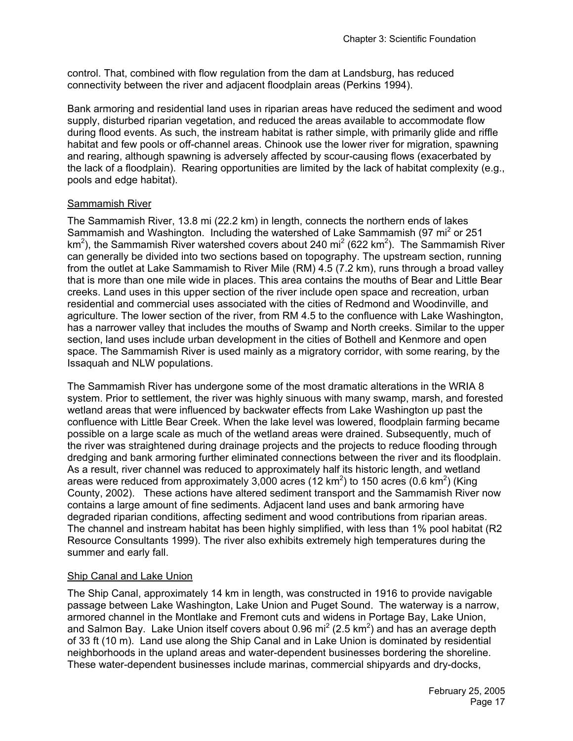control. That, combined with flow regulation from the dam at Landsburg, has reduced connectivity between the river and adjacent floodplain areas (Perkins 1994).

Bank armoring and residential land uses in riparian areas have reduced the sediment and wood supply, disturbed riparian vegetation, and reduced the areas available to accommodate flow during flood events. As such, the instream habitat is rather simple, with primarily glide and riffle habitat and few pools or off-channel areas. Chinook use the lower river for migration, spawning and rearing, although spawning is adversely affected by scour-causing flows (exacerbated by the lack of a floodplain). Rearing opportunities are limited by the lack of habitat complexity (e.g., pools and edge habitat).

## Sammamish River

The Sammamish River, 13.8 mi (22.2 km) in length, connects the northern ends of lakes Sammamish and Washington. Including the watershed of Lake Sammamish (97 mi<sup>2</sup> or 251 km<sup>2</sup>), the Sammamish River watershed covers about 240 mi<sup>2</sup> (622 km<sup>2</sup>). The Sammamish River can generally be divided into two sections based on topography. The upstream section, running from the outlet at Lake Sammamish to River Mile (RM) 4.5 (7.2 km), runs through a broad valley that is more than one mile wide in places. This area contains the mouths of Bear and Little Bear creeks. Land uses in this upper section of the river include open space and recreation, urban residential and commercial uses associated with the cities of Redmond and Woodinville, and agriculture. The lower section of the river, from RM 4.5 to the confluence with Lake Washington, has a narrower valley that includes the mouths of Swamp and North creeks. Similar to the upper section, land uses include urban development in the cities of Bothell and Kenmore and open space. The Sammamish River is used mainly as a migratory corridor, with some rearing, by the Issaquah and NLW populations.

The Sammamish River has undergone some of the most dramatic alterations in the WRIA 8 system. Prior to settlement, the river was highly sinuous with many swamp, marsh, and forested wetland areas that were influenced by backwater effects from Lake Washington up past the confluence with Little Bear Creek. When the lake level was lowered, floodplain farming became possible on a large scale as much of the wetland areas were drained. Subsequently, much of the river was straightened during drainage projects and the projects to reduce flooding through dredging and bank armoring further eliminated connections between the river and its floodplain. As a result, river channel was reduced to approximately half its historic length, and wetland areas were reduced from approximately 3,000 acres (12 km<sup>2</sup>) to 150 acres (0.6 km<sup>2</sup>) (King County, 2002). These actions have altered sediment transport and the Sammamish River now contains a large amount of fine sediments. Adjacent land uses and bank armoring have degraded riparian conditions, affecting sediment and wood contributions from riparian areas. The channel and instream habitat has been highly simplified, with less than 1% pool habitat (R2 Resource Consultants 1999). The river also exhibits extremely high temperatures during the summer and early fall.

# Ship Canal and Lake Union

The Ship Canal, approximately 14 km in length, was constructed in 1916 to provide navigable passage between Lake Washington, Lake Union and Puget Sound. The waterway is a narrow, armored channel in the Montlake and Fremont cuts and widens in Portage Bay, Lake Union, and Salmon Bay. Lake Union itself covers about 0.96 mi<sup>2</sup> (2.5 km<sup>2</sup>) and has an average depth of 33 ft (10 m). Land use along the Ship Canal and in Lake Union is dominated by residential neighborhoods in the upland areas and water-dependent businesses bordering the shoreline. These water-dependent businesses include marinas, commercial shipyards and dry-docks,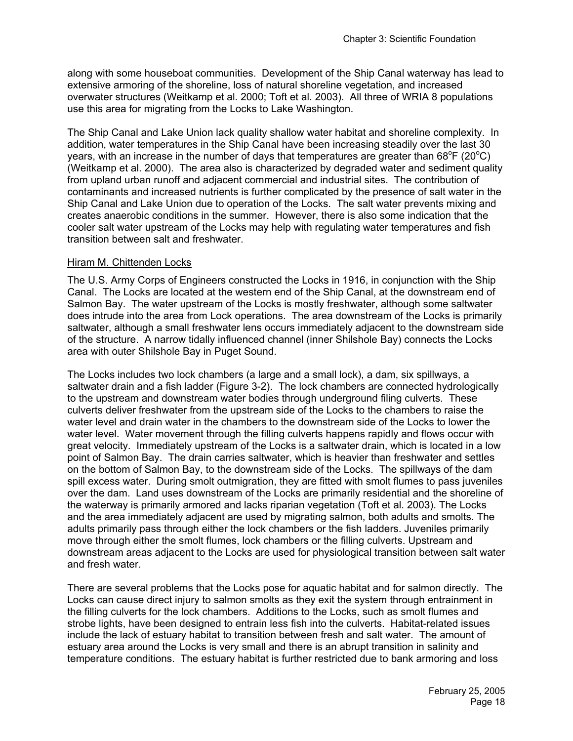along with some houseboat communities. Development of the Ship Canal waterway has lead to extensive armoring of the shoreline, loss of natural shoreline vegetation, and increased overwater structures (Weitkamp et al. 2000; Toft et al. 2003). All three of WRIA 8 populations use this area for migrating from the Locks to Lake Washington.

The Ship Canal and Lake Union lack quality shallow water habitat and shoreline complexity. In addition, water temperatures in the Ship Canal have been increasing steadily over the last 30 years, with an increase in the number of days that temperatures are greater than 68°F (20°C) (Weitkamp et al. 2000). The area also is characterized by degraded water and sediment quality from upland urban runoff and adjacent commercial and industrial sites. The contribution of contaminants and increased nutrients is further complicated by the presence of salt water in the Ship Canal and Lake Union due to operation of the Locks. The salt water prevents mixing and creates anaerobic conditions in the summer. However, there is also some indication that the cooler salt water upstream of the Locks may help with regulating water temperatures and fish transition between salt and freshwater.

#### Hiram M. Chittenden Locks

The U.S. Army Corps of Engineers constructed the Locks in 1916, in conjunction with the Ship Canal. The Locks are located at the western end of the Ship Canal, at the downstream end of Salmon Bay. The water upstream of the Locks is mostly freshwater, although some saltwater does intrude into the area from Lock operations. The area downstream of the Locks is primarily saltwater, although a small freshwater lens occurs immediately adjacent to the downstream side of the structure. A narrow tidally influenced channel (inner Shilshole Bay) connects the Locks area with outer Shilshole Bay in Puget Sound.

The Locks includes two lock chambers (a large and a small lock), a dam, six spillways, a saltwater drain and a fish ladder (Figure 3-2). The lock chambers are connected hydrologically to the upstream and downstream water bodies through underground filing culverts. These culverts deliver freshwater from the upstream side of the Locks to the chambers to raise the water level and drain water in the chambers to the downstream side of the Locks to lower the water level. Water movement through the filling culverts happens rapidly and flows occur with great velocity. Immediately upstream of the Locks is a saltwater drain, which is located in a low point of Salmon Bay. The drain carries saltwater, which is heavier than freshwater and settles on the bottom of Salmon Bay, to the downstream side of the Locks. The spillways of the dam spill excess water. During smolt outmigration, they are fitted with smolt flumes to pass juveniles over the dam. Land uses downstream of the Locks are primarily residential and the shoreline of the waterway is primarily armored and lacks riparian vegetation (Toft et al. 2003). The Locks and the area immediately adjacent are used by migrating salmon, both adults and smolts. The adults primarily pass through either the lock chambers or the fish ladders. Juveniles primarily move through either the smolt flumes, lock chambers or the filling culverts. Upstream and downstream areas adjacent to the Locks are used for physiological transition between salt water and fresh water.

There are several problems that the Locks pose for aquatic habitat and for salmon directly. The Locks can cause direct injury to salmon smolts as they exit the system through entrainment in the filling culverts for the lock chambers. Additions to the Locks, such as smolt flumes and strobe lights, have been designed to entrain less fish into the culverts. Habitat-related issues include the lack of estuary habitat to transition between fresh and salt water. The amount of estuary area around the Locks is very small and there is an abrupt transition in salinity and temperature conditions. The estuary habitat is further restricted due to bank armoring and loss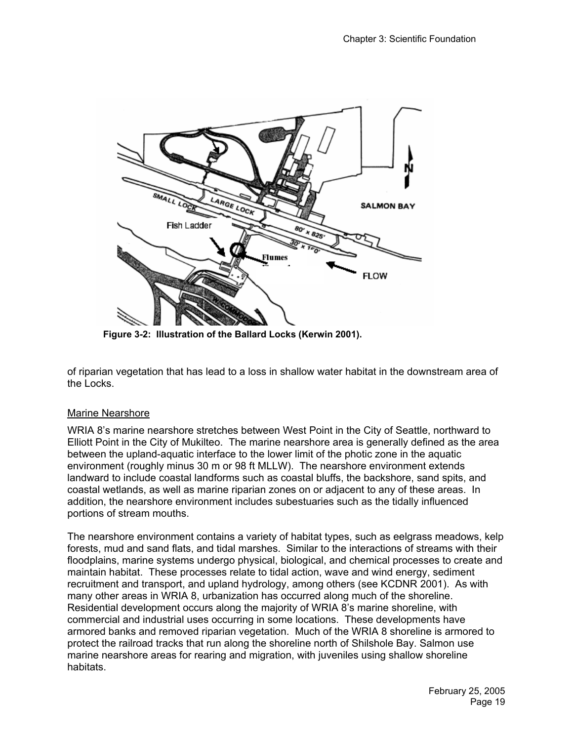

**Figure 3-2: Illustration of the Ballard Locks (Kerwin 2001).** 

of riparian vegetation that has lead to a loss in shallow water habitat in the downstream area of the Locks.

# Marine Nearshore

WRIA 8's marine nearshore stretches between West Point in the City of Seattle, northward to Elliott Point in the City of Mukilteo. The marine nearshore area is generally defined as the area between the upland-aquatic interface to the lower limit of the photic zone in the aquatic environment (roughly minus 30 m or 98 ft MLLW). The nearshore environment extends landward to include coastal landforms such as coastal bluffs, the backshore, sand spits, and coastal wetlands, as well as marine riparian zones on or adjacent to any of these areas. In addition, the nearshore environment includes subestuaries such as the tidally influenced portions of stream mouths.

The nearshore environment contains a variety of habitat types, such as eelgrass meadows, kelp forests, mud and sand flats, and tidal marshes. Similar to the interactions of streams with their floodplains, marine systems undergo physical, biological, and chemical processes to create and maintain habitat. These processes relate to tidal action, wave and wind energy, sediment recruitment and transport, and upland hydrology, among others (see KCDNR 2001). As with many other areas in WRIA 8, urbanization has occurred along much of the shoreline. Residential development occurs along the majority of WRIA 8's marine shoreline, with commercial and industrial uses occurring in some locations. These developments have armored banks and removed riparian vegetation. Much of the WRIA 8 shoreline is armored to protect the railroad tracks that run along the shoreline north of Shilshole Bay. Salmon use marine nearshore areas for rearing and migration, with juveniles using shallow shoreline habitats.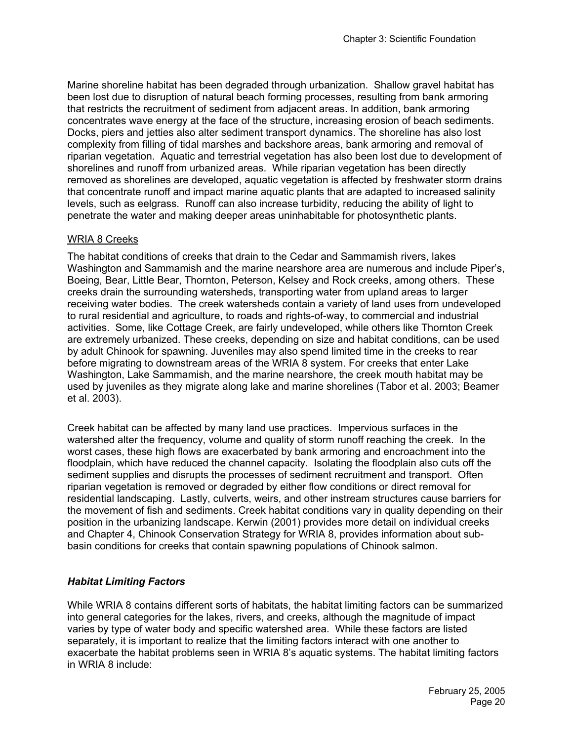Marine shoreline habitat has been degraded through urbanization. Shallow gravel habitat has been lost due to disruption of natural beach forming processes, resulting from bank armoring that restricts the recruitment of sediment from adjacent areas. In addition, bank armoring concentrates wave energy at the face of the structure, increasing erosion of beach sediments. Docks, piers and jetties also alter sediment transport dynamics. The shoreline has also lost complexity from filling of tidal marshes and backshore areas, bank armoring and removal of riparian vegetation. Aquatic and terrestrial vegetation has also been lost due to development of shorelines and runoff from urbanized areas. While riparian vegetation has been directly removed as shorelines are developed, aquatic vegetation is affected by freshwater storm drains that concentrate runoff and impact marine aquatic plants that are adapted to increased salinity levels, such as eelgrass. Runoff can also increase turbidity, reducing the ability of light to penetrate the water and making deeper areas uninhabitable for photosynthetic plants.

### WRIA 8 Creeks

The habitat conditions of creeks that drain to the Cedar and Sammamish rivers, lakes Washington and Sammamish and the marine nearshore area are numerous and include Piper's, Boeing, Bear, Little Bear, Thornton, Peterson, Kelsey and Rock creeks, among others. These creeks drain the surrounding watersheds, transporting water from upland areas to larger receiving water bodies. The creek watersheds contain a variety of land uses from undeveloped to rural residential and agriculture, to roads and rights-of-way, to commercial and industrial activities. Some, like Cottage Creek, are fairly undeveloped, while others like Thornton Creek are extremely urbanized. These creeks, depending on size and habitat conditions, can be used by adult Chinook for spawning. Juveniles may also spend limited time in the creeks to rear before migrating to downstream areas of the WRIA 8 system. For creeks that enter Lake Washington, Lake Sammamish, and the marine nearshore, the creek mouth habitat may be used by juveniles as they migrate along lake and marine shorelines (Tabor et al. 2003; Beamer et al. 2003).

Creek habitat can be affected by many land use practices. Impervious surfaces in the watershed alter the frequency, volume and quality of storm runoff reaching the creek. In the worst cases, these high flows are exacerbated by bank armoring and encroachment into the floodplain, which have reduced the channel capacity. Isolating the floodplain also cuts off the sediment supplies and disrupts the processes of sediment recruitment and transport. Often riparian vegetation is removed or degraded by either flow conditions or direct removal for residential landscaping. Lastly, culverts, weirs, and other instream structures cause barriers for the movement of fish and sediments. Creek habitat conditions vary in quality depending on their position in the urbanizing landscape. Kerwin (2001) provides more detail on individual creeks and Chapter 4, Chinook Conservation Strategy for WRIA 8, provides information about subbasin conditions for creeks that contain spawning populations of Chinook salmon.

# *Habitat Limiting Factors*

While WRIA 8 contains different sorts of habitats, the habitat limiting factors can be summarized into general categories for the lakes, rivers, and creeks, although the magnitude of impact varies by type of water body and specific watershed area. While these factors are listed separately, it is important to realize that the limiting factors interact with one another to exacerbate the habitat problems seen in WRIA 8's aquatic systems. The habitat limiting factors in WRIA 8 include: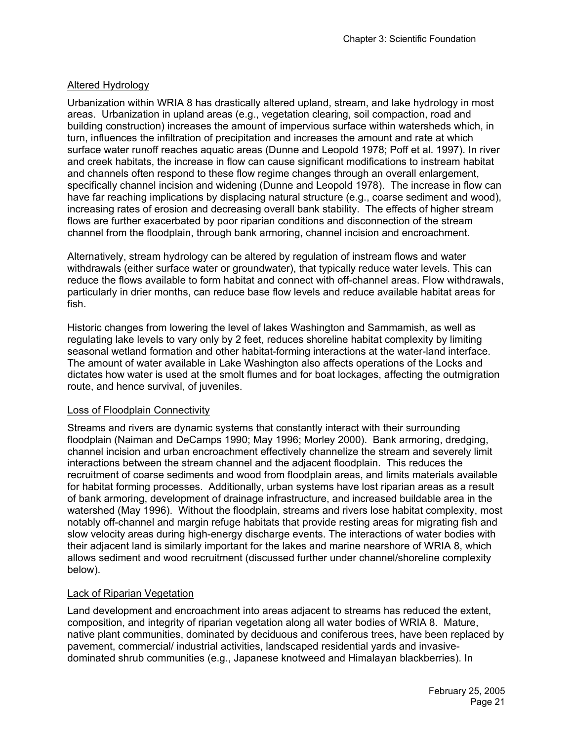# Altered Hydrology

Urbanization within WRIA 8 has drastically altered upland, stream, and lake hydrology in most areas. Urbanization in upland areas (e.g., vegetation clearing, soil compaction, road and building construction) increases the amount of impervious surface within watersheds which, in turn, influences the infiltration of precipitation and increases the amount and rate at which surface water runoff reaches aquatic areas (Dunne and Leopold 1978; Poff et al. 1997). In river and creek habitats, the increase in flow can cause significant modifications to instream habitat and channels often respond to these flow regime changes through an overall enlargement, specifically channel incision and widening (Dunne and Leopold 1978). The increase in flow can have far reaching implications by displacing natural structure (e.g., coarse sediment and wood), increasing rates of erosion and decreasing overall bank stability. The effects of higher stream flows are further exacerbated by poor riparian conditions and disconnection of the stream channel from the floodplain, through bank armoring, channel incision and encroachment.

Alternatively, stream hydrology can be altered by regulation of instream flows and water withdrawals (either surface water or groundwater), that typically reduce water levels. This can reduce the flows available to form habitat and connect with off-channel areas. Flow withdrawals, particularly in drier months, can reduce base flow levels and reduce available habitat areas for fish.

Historic changes from lowering the level of lakes Washington and Sammamish, as well as regulating lake levels to vary only by 2 feet, reduces shoreline habitat complexity by limiting seasonal wetland formation and other habitat-forming interactions at the water-land interface. The amount of water available in Lake Washington also affects operations of the Locks and dictates how water is used at the smolt flumes and for boat lockages, affecting the outmigration route, and hence survival, of juveniles.

### Loss of Floodplain Connectivity

Streams and rivers are dynamic systems that constantly interact with their surrounding floodplain (Naiman and DeCamps 1990; May 1996; Morley 2000). Bank armoring, dredging, channel incision and urban encroachment effectively channelize the stream and severely limit interactions between the stream channel and the adjacent floodplain. This reduces the recruitment of coarse sediments and wood from floodplain areas, and limits materials available for habitat forming processes. Additionally, urban systems have lost riparian areas as a result of bank armoring, development of drainage infrastructure, and increased buildable area in the watershed (May 1996). Without the floodplain, streams and rivers lose habitat complexity, most notably off-channel and margin refuge habitats that provide resting areas for migrating fish and slow velocity areas during high-energy discharge events. The interactions of water bodies with their adjacent land is similarly important for the lakes and marine nearshore of WRIA 8, which allows sediment and wood recruitment (discussed further under channel/shoreline complexity below).

### Lack of Riparian Vegetation

Land development and encroachment into areas adjacent to streams has reduced the extent, composition, and integrity of riparian vegetation along all water bodies of WRIA 8. Mature, native plant communities, dominated by deciduous and coniferous trees, have been replaced by pavement, commercial/ industrial activities, landscaped residential yards and invasivedominated shrub communities (e.g., Japanese knotweed and Himalayan blackberries). In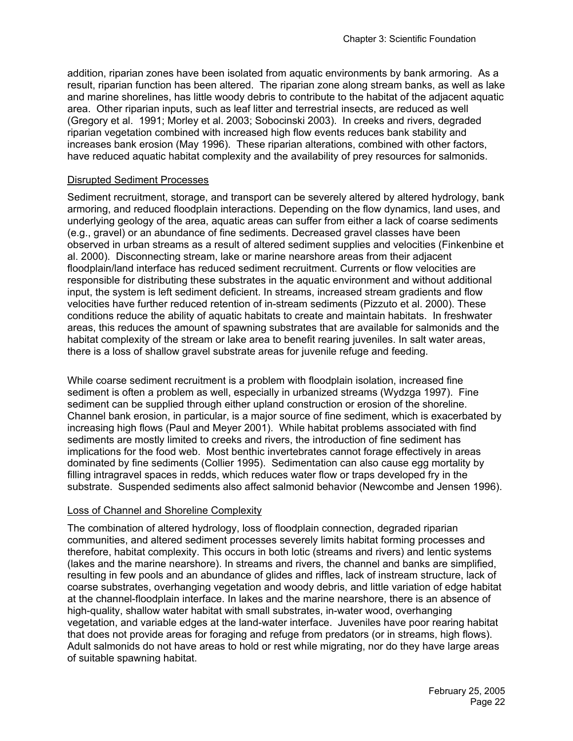addition, riparian zones have been isolated from aquatic environments by bank armoring. As a result, riparian function has been altered. The riparian zone along stream banks, as well as lake and marine shorelines, has little woody debris to contribute to the habitat of the adjacent aquatic area. Other riparian inputs, such as leaf litter and terrestrial insects, are reduced as well (Gregory et al. 1991; Morley et al. 2003; Sobocinski 2003). In creeks and rivers, degraded riparian vegetation combined with increased high flow events reduces bank stability and increases bank erosion (May 1996). These riparian alterations, combined with other factors, have reduced aquatic habitat complexity and the availability of prey resources for salmonids.

#### Disrupted Sediment Processes

Sediment recruitment, storage, and transport can be severely altered by altered hydrology, bank armoring, and reduced floodplain interactions. Depending on the flow dynamics, land uses, and underlying geology of the area, aquatic areas can suffer from either a lack of coarse sediments (e.g., gravel) or an abundance of fine sediments. Decreased gravel classes have been observed in urban streams as a result of altered sediment supplies and velocities (Finkenbine et al. 2000). Disconnecting stream, lake or marine nearshore areas from their adjacent floodplain/land interface has reduced sediment recruitment. Currents or flow velocities are responsible for distributing these substrates in the aquatic environment and without additional input, the system is left sediment deficient. In streams, increased stream gradients and flow velocities have further reduced retention of in-stream sediments (Pizzuto et al. 2000). These conditions reduce the ability of aquatic habitats to create and maintain habitats. In freshwater areas, this reduces the amount of spawning substrates that are available for salmonids and the habitat complexity of the stream or lake area to benefit rearing juveniles. In salt water areas, there is a loss of shallow gravel substrate areas for juvenile refuge and feeding.

While coarse sediment recruitment is a problem with floodplain isolation, increased fine sediment is often a problem as well, especially in urbanized streams (Wydzga 1997). Fine sediment can be supplied through either upland construction or erosion of the shoreline. Channel bank erosion, in particular, is a major source of fine sediment, which is exacerbated by increasing high flows (Paul and Meyer 2001). While habitat problems associated with find sediments are mostly limited to creeks and rivers, the introduction of fine sediment has implications for the food web. Most benthic invertebrates cannot forage effectively in areas dominated by fine sediments (Collier 1995). Sedimentation can also cause egg mortality by filling intragravel spaces in redds, which reduces water flow or traps developed fry in the substrate. Suspended sediments also affect salmonid behavior (Newcombe and Jensen 1996).

#### Loss of Channel and Shoreline Complexity

The combination of altered hydrology, loss of floodplain connection, degraded riparian communities, and altered sediment processes severely limits habitat forming processes and therefore, habitat complexity. This occurs in both lotic (streams and rivers) and lentic systems (lakes and the marine nearshore). In streams and rivers, the channel and banks are simplified, resulting in few pools and an abundance of glides and riffles, lack of instream structure, lack of coarse substrates, overhanging vegetation and woody debris, and little variation of edge habitat at the channel-floodplain interface. In lakes and the marine nearshore, there is an absence of high-quality, shallow water habitat with small substrates, in-water wood, overhanging vegetation, and variable edges at the land-water interface. Juveniles have poor rearing habitat that does not provide areas for foraging and refuge from predators (or in streams, high flows). Adult salmonids do not have areas to hold or rest while migrating, nor do they have large areas of suitable spawning habitat.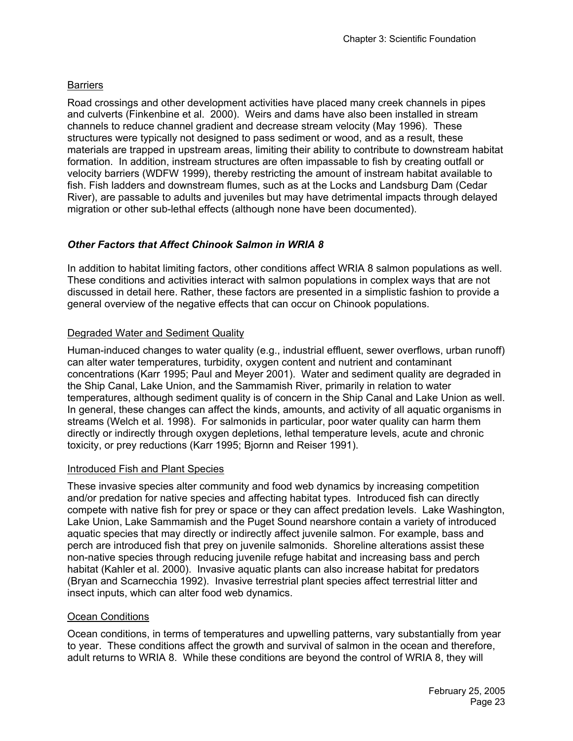# **Barriers**

Road crossings and other development activities have placed many creek channels in pipes and culverts (Finkenbine et al. 2000). Weirs and dams have also been installed in stream channels to reduce channel gradient and decrease stream velocity (May 1996). These structures were typically not designed to pass sediment or wood, and as a result, these materials are trapped in upstream areas, limiting their ability to contribute to downstream habitat formation. In addition, instream structures are often impassable to fish by creating outfall or velocity barriers (WDFW 1999), thereby restricting the amount of instream habitat available to fish. Fish ladders and downstream flumes, such as at the Locks and Landsburg Dam (Cedar River), are passable to adults and juveniles but may have detrimental impacts through delayed migration or other sub-lethal effects (although none have been documented).

# *Other Factors that Affect Chinook Salmon in WRIA 8*

In addition to habitat limiting factors, other conditions affect WRIA 8 salmon populations as well. These conditions and activities interact with salmon populations in complex ways that are not discussed in detail here. Rather, these factors are presented in a simplistic fashion to provide a general overview of the negative effects that can occur on Chinook populations.

## Degraded Water and Sediment Quality

Human-induced changes to water quality (e.g., industrial effluent, sewer overflows, urban runoff) can alter water temperatures, turbidity, oxygen content and nutrient and contaminant concentrations (Karr 1995; Paul and Meyer 2001). Water and sediment quality are degraded in the Ship Canal, Lake Union, and the Sammamish River, primarily in relation to water temperatures, although sediment quality is of concern in the Ship Canal and Lake Union as well. In general, these changes can affect the kinds, amounts, and activity of all aquatic organisms in streams (Welch et al. 1998). For salmonids in particular, poor water quality can harm them directly or indirectly through oxygen depletions, lethal temperature levels, acute and chronic toxicity, or prey reductions (Karr 1995; Bjornn and Reiser 1991).

### Introduced Fish and Plant Species

These invasive species alter community and food web dynamics by increasing competition and/or predation for native species and affecting habitat types. Introduced fish can directly compete with native fish for prey or space or they can affect predation levels. Lake Washington, Lake Union, Lake Sammamish and the Puget Sound nearshore contain a variety of introduced aquatic species that may directly or indirectly affect juvenile salmon. For example, bass and perch are introduced fish that prey on juvenile salmonids. Shoreline alterations assist these non-native species through reducing juvenile refuge habitat and increasing bass and perch habitat (Kahler et al. 2000). Invasive aquatic plants can also increase habitat for predators (Bryan and Scarnecchia 1992). Invasive terrestrial plant species affect terrestrial litter and insect inputs, which can alter food web dynamics.

### Ocean Conditions

Ocean conditions, in terms of temperatures and upwelling patterns, vary substantially from year to year. These conditions affect the growth and survival of salmon in the ocean and therefore, adult returns to WRIA 8. While these conditions are beyond the control of WRIA 8, they will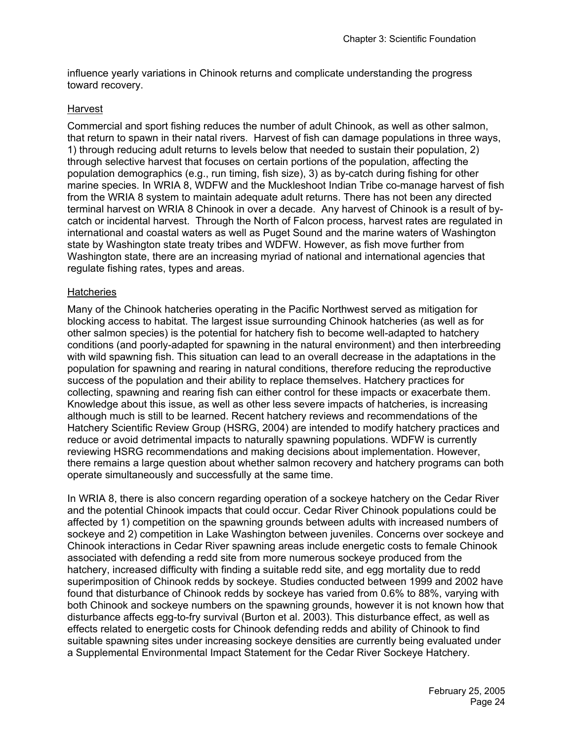influence yearly variations in Chinook returns and complicate understanding the progress toward recovery.

#### Harvest

Commercial and sport fishing reduces the number of adult Chinook, as well as other salmon, that return to spawn in their natal rivers. Harvest of fish can damage populations in three ways, 1) through reducing adult returns to levels below that needed to sustain their population, 2) through selective harvest that focuses on certain portions of the population, affecting the population demographics (e.g., run timing, fish size), 3) as by-catch during fishing for other marine species. In WRIA 8, WDFW and the Muckleshoot Indian Tribe co-manage harvest of fish from the WRIA 8 system to maintain adequate adult returns. There has not been any directed terminal harvest on WRIA 8 Chinook in over a decade. Any harvest of Chinook is a result of bycatch or incidental harvest. Through the North of Falcon process, harvest rates are regulated in international and coastal waters as well as Puget Sound and the marine waters of Washington state by Washington state treaty tribes and WDFW. However, as fish move further from Washington state, there are an increasing myriad of national and international agencies that regulate fishing rates, types and areas.

#### **Hatcheries**

Many of the Chinook hatcheries operating in the Pacific Northwest served as mitigation for blocking access to habitat. The largest issue surrounding Chinook hatcheries (as well as for other salmon species) is the potential for hatchery fish to become well-adapted to hatchery conditions (and poorly-adapted for spawning in the natural environment) and then interbreeding with wild spawning fish. This situation can lead to an overall decrease in the adaptations in the population for spawning and rearing in natural conditions, therefore reducing the reproductive success of the population and their ability to replace themselves. Hatchery practices for collecting, spawning and rearing fish can either control for these impacts or exacerbate them. Knowledge about this issue, as well as other less severe impacts of hatcheries, is increasing although much is still to be learned. Recent hatchery reviews and recommendations of the Hatchery Scientific Review Group (HSRG, 2004) are intended to modify hatchery practices and reduce or avoid detrimental impacts to naturally spawning populations. WDFW is currently reviewing HSRG recommendations and making decisions about implementation. However, there remains a large question about whether salmon recovery and hatchery programs can both operate simultaneously and successfully at the same time.

In WRIA 8, there is also concern regarding operation of a sockeye hatchery on the Cedar River and the potential Chinook impacts that could occur. Cedar River Chinook populations could be affected by 1) competition on the spawning grounds between adults with increased numbers of sockeye and 2) competition in Lake Washington between juveniles. Concerns over sockeye and Chinook interactions in Cedar River spawning areas include energetic costs to female Chinook associated with defending a redd site from more numerous sockeye produced from the hatchery, increased difficulty with finding a suitable redd site, and egg mortality due to redd superimposition of Chinook redds by sockeye. Studies conducted between 1999 and 2002 have found that disturbance of Chinook redds by sockeye has varied from 0.6% to 88%, varying with both Chinook and sockeye numbers on the spawning grounds, however it is not known how that disturbance affects egg-to-fry survival (Burton et al. 2003). This disturbance effect, as well as effects related to energetic costs for Chinook defending redds and ability of Chinook to find suitable spawning sites under increasing sockeye densities are currently being evaluated under a Supplemental Environmental Impact Statement for the Cedar River Sockeye Hatchery.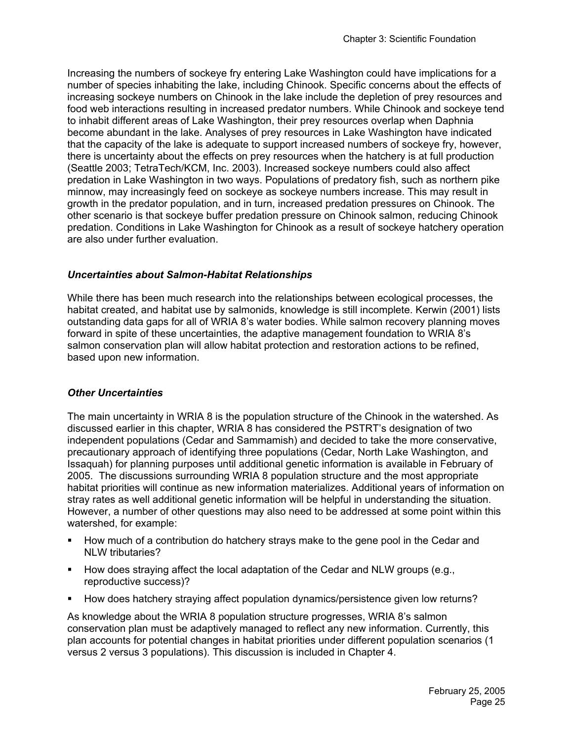Increasing the numbers of sockeye fry entering Lake Washington could have implications for a number of species inhabiting the lake, including Chinook. Specific concerns about the effects of increasing sockeye numbers on Chinook in the lake include the depletion of prey resources and food web interactions resulting in increased predator numbers. While Chinook and sockeye tend to inhabit different areas of Lake Washington, their prey resources overlap when Daphnia become abundant in the lake. Analyses of prey resources in Lake Washington have indicated that the capacity of the lake is adequate to support increased numbers of sockeye fry, however, there is uncertainty about the effects on prey resources when the hatchery is at full production (Seattle 2003; TetraTech/KCM, Inc. 2003). Increased sockeye numbers could also affect predation in Lake Washington in two ways. Populations of predatory fish, such as northern pike minnow, may increasingly feed on sockeye as sockeye numbers increase. This may result in growth in the predator population, and in turn, increased predation pressures on Chinook. The other scenario is that sockeye buffer predation pressure on Chinook salmon, reducing Chinook predation. Conditions in Lake Washington for Chinook as a result of sockeye hatchery operation are also under further evaluation.

### *Uncertainties about Salmon-Habitat Relationships*

While there has been much research into the relationships between ecological processes, the habitat created, and habitat use by salmonids, knowledge is still incomplete. Kerwin (2001) lists outstanding data gaps for all of WRIA 8's water bodies. While salmon recovery planning moves forward in spite of these uncertainties, the adaptive management foundation to WRIA 8's salmon conservation plan will allow habitat protection and restoration actions to be refined, based upon new information.

### *Other Uncertainties*

The main uncertainty in WRIA 8 is the population structure of the Chinook in the watershed. As discussed earlier in this chapter, WRIA 8 has considered the PSTRT's designation of two independent populations (Cedar and Sammamish) and decided to take the more conservative, precautionary approach of identifying three populations (Cedar, North Lake Washington, and Issaquah) for planning purposes until additional genetic information is available in February of 2005. The discussions surrounding WRIA 8 population structure and the most appropriate habitat priorities will continue as new information materializes. Additional years of information on stray rates as well additional genetic information will be helpful in understanding the situation. However, a number of other questions may also need to be addressed at some point within this watershed, for example:

- How much of a contribution do hatchery strays make to the gene pool in the Cedar and NLW tributaries?
- How does straying affect the local adaptation of the Cedar and NLW groups  $(e.g.,)$ reproductive success)?
- How does hatchery straying affect population dynamics/persistence given low returns?

As knowledge about the WRIA 8 population structure progresses, WRIA 8's salmon conservation plan must be adaptively managed to reflect any new information. Currently, this plan accounts for potential changes in habitat priorities under different population scenarios (1 versus 2 versus 3 populations). This discussion is included in Chapter 4.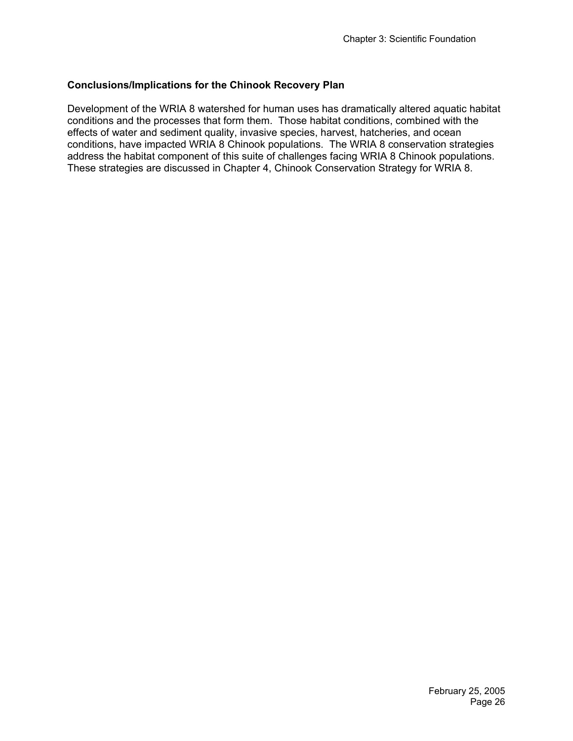## **Conclusions/Implications for the Chinook Recovery Plan**

Development of the WRIA 8 watershed for human uses has dramatically altered aquatic habitat conditions and the processes that form them. Those habitat conditions, combined with the effects of water and sediment quality, invasive species, harvest, hatcheries, and ocean conditions, have impacted WRIA 8 Chinook populations. The WRIA 8 conservation strategies address the habitat component of this suite of challenges facing WRIA 8 Chinook populations. These strategies are discussed in Chapter 4, Chinook Conservation Strategy for WRIA 8.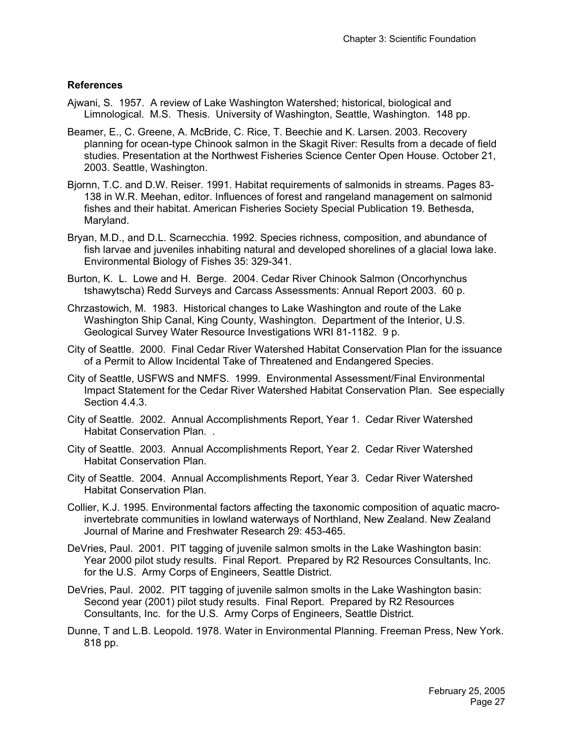### **References**

- Ajwani, S. 1957. A review of Lake Washington Watershed; historical, biological and Limnological. M.S. Thesis. University of Washington, Seattle, Washington. 148 pp.
- Beamer, E., C. Greene, A. McBride, C. Rice, T. Beechie and K. Larsen. 2003. Recovery planning for ocean-type Chinook salmon in the Skagit River: Results from a decade of field studies. Presentation at the Northwest Fisheries Science Center Open House. October 21, 2003. Seattle, Washington.
- Bjornn, T.C. and D.W. Reiser. 1991. Habitat requirements of salmonids in streams. Pages 83- 138 in W.R. Meehan, editor. Influences of forest and rangeland management on salmonid fishes and their habitat. American Fisheries Society Special Publication 19. Bethesda, Maryland.
- Bryan, M.D., and D.L. Scarnecchia. 1992. Species richness, composition, and abundance of fish larvae and juveniles inhabiting natural and developed shorelines of a glacial Iowa lake. Environmental Biology of Fishes 35: 329-341.
- Burton, K. L. Lowe and H. Berge. 2004. Cedar River Chinook Salmon (Oncorhynchus tshawytscha) Redd Surveys and Carcass Assessments: Annual Report 2003. 60 p.
- Chrzastowich, M. 1983. Historical changes to Lake Washington and route of the Lake Washington Ship Canal, King County, Washington. Department of the Interior, U.S. Geological Survey Water Resource Investigations WRI 81-1182. 9 p.
- City of Seattle. 2000. Final Cedar River Watershed Habitat Conservation Plan for the issuance of a Permit to Allow Incidental Take of Threatened and Endangered Species.
- City of Seattle, USFWS and NMFS. 1999. Environmental Assessment/Final Environmental Impact Statement for the Cedar River Watershed Habitat Conservation Plan. See especially Section 4.4.3.
- City of Seattle. 2002. Annual Accomplishments Report, Year 1. Cedar River Watershed Habitat Conservation Plan. .
- City of Seattle. 2003. Annual Accomplishments Report, Year 2. Cedar River Watershed Habitat Conservation Plan.
- City of Seattle. 2004. Annual Accomplishments Report, Year 3. Cedar River Watershed Habitat Conservation Plan.
- Collier, K.J. 1995. Environmental factors affecting the taxonomic composition of aquatic macroinvertebrate communities in lowland waterways of Northland, New Zealand. New Zealand Journal of Marine and Freshwater Research 29: 453-465.
- DeVries, Paul. 2001. PIT tagging of juvenile salmon smolts in the Lake Washington basin: Year 2000 pilot study results. Final Report. Prepared by R2 Resources Consultants, Inc. for the U.S. Army Corps of Engineers, Seattle District.
- DeVries, Paul. 2002. PIT tagging of juvenile salmon smolts in the Lake Washington basin: Second year (2001) pilot study results. Final Report. Prepared by R2 Resources Consultants, Inc. for the U.S. Army Corps of Engineers, Seattle District.
- Dunne, T and L.B. Leopold. 1978. Water in Environmental Planning. Freeman Press, New York. 818 pp.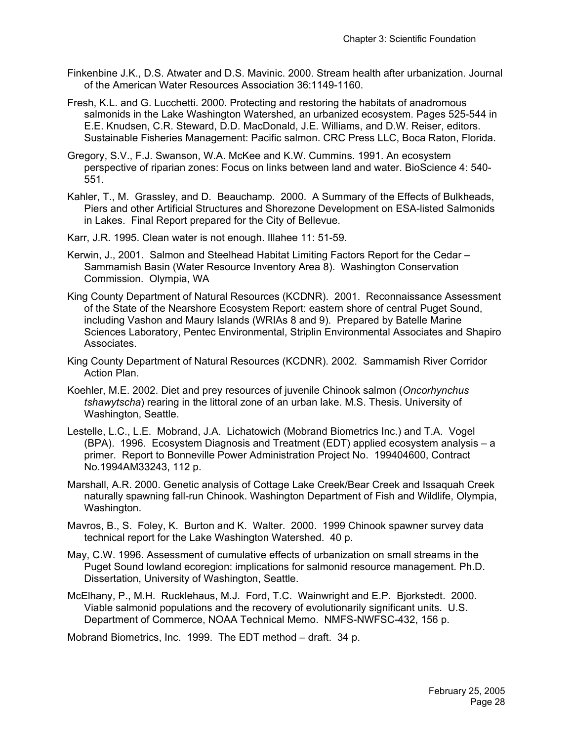- Finkenbine J.K., D.S. Atwater and D.S. Mavinic. 2000. Stream health after urbanization. Journal of the American Water Resources Association 36:1149-1160.
- Fresh, K.L. and G. Lucchetti. 2000. Protecting and restoring the habitats of anadromous salmonids in the Lake Washington Watershed, an urbanized ecosystem. Pages 525-544 in E.E. Knudsen, C.R. Steward, D.D. MacDonald, J.E. Williams, and D.W. Reiser, editors. Sustainable Fisheries Management: Pacific salmon. CRC Press LLC, Boca Raton, Florida.
- Gregory, S.V., F.J. Swanson, W.A. McKee and K.W. Cummins. 1991. An ecosystem perspective of riparian zones: Focus on links between land and water. BioScience 4: 540- 551.
- Kahler, T., M. Grassley, and D. Beauchamp. 2000. A Summary of the Effects of Bulkheads, Piers and other Artificial Structures and Shorezone Development on ESA-listed Salmonids in Lakes. Final Report prepared for the City of Bellevue.
- Karr, J.R. 1995. Clean water is not enough. Illahee 11: 51-59.
- Kerwin, J., 2001. Salmon and Steelhead Habitat Limiting Factors Report for the Cedar Sammamish Basin (Water Resource Inventory Area 8). Washington Conservation Commission. Olympia, WA
- King County Department of Natural Resources (KCDNR). 2001. Reconnaissance Assessment of the State of the Nearshore Ecosystem Report: eastern shore of central Puget Sound, including Vashon and Maury Islands (WRIAs 8 and 9). Prepared by Batelle Marine Sciences Laboratory, Pentec Environmental, Striplin Environmental Associates and Shapiro Associates.
- King County Department of Natural Resources (KCDNR). 2002. Sammamish River Corridor Action Plan.
- Koehler, M.E. 2002. Diet and prey resources of juvenile Chinook salmon (*Oncorhynchus tshawytscha*) rearing in the littoral zone of an urban lake. M.S. Thesis. University of Washington, Seattle.
- Lestelle, L.C., L.E. Mobrand, J.A. Lichatowich (Mobrand Biometrics Inc.) and T.A. Vogel (BPA). 1996. Ecosystem Diagnosis and Treatment (EDT) applied ecosystem analysis – a primer. Report to Bonneville Power Administration Project No. 199404600, Contract No.1994AM33243, 112 p.
- Marshall, A.R. 2000. Genetic analysis of Cottage Lake Creek/Bear Creek and Issaquah Creek naturally spawning fall-run Chinook. Washington Department of Fish and Wildlife, Olympia, Washington.
- Mavros, B., S. Foley, K. Burton and K. Walter. 2000. 1999 Chinook spawner survey data technical report for the Lake Washington Watershed. 40 p.
- May, C.W. 1996. Assessment of cumulative effects of urbanization on small streams in the Puget Sound lowland ecoregion: implications for salmonid resource management. Ph.D. Dissertation, University of Washington, Seattle.
- McElhany, P., M.H. Rucklehaus, M.J. Ford, T.C. Wainwright and E.P. Bjorkstedt. 2000. Viable salmonid populations and the recovery of evolutionarily significant units. U.S. Department of Commerce, NOAA Technical Memo. NMFS-NWFSC-432, 156 p.

Mobrand Biometrics, Inc. 1999. The EDT method – draft. 34 p.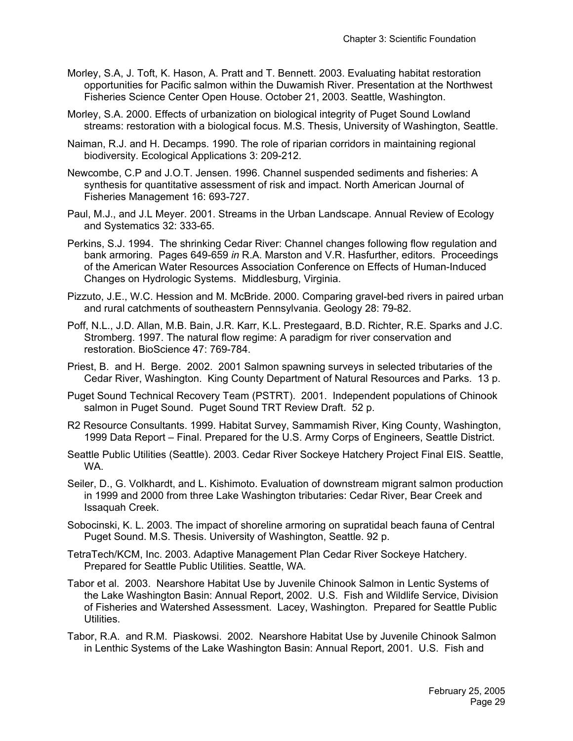- Morley, S.A, J. Toft, K. Hason, A. Pratt and T. Bennett. 2003. Evaluating habitat restoration opportunities for Pacific salmon within the Duwamish River. Presentation at the Northwest Fisheries Science Center Open House. October 21, 2003. Seattle, Washington.
- Morley, S.A. 2000. Effects of urbanization on biological integrity of Puget Sound Lowland streams: restoration with a biological focus. M.S. Thesis, University of Washington, Seattle.
- Naiman, R.J. and H. Decamps. 1990. The role of riparian corridors in maintaining regional biodiversity. Ecological Applications 3: 209-212.
- Newcombe, C.P and J.O.T. Jensen. 1996. Channel suspended sediments and fisheries: A synthesis for quantitative assessment of risk and impact. North American Journal of Fisheries Management 16: 693-727.
- Paul, M.J., and J.L Meyer. 2001. Streams in the Urban Landscape. Annual Review of Ecology and Systematics 32: 333-65.
- Perkins, S.J. 1994. The shrinking Cedar River: Channel changes following flow regulation and bank armoring. Pages 649-659 *in* R.A. Marston and V.R. Hasfurther, editors. Proceedings of the American Water Resources Association Conference on Effects of Human-Induced Changes on Hydrologic Systems. Middlesburg, Virginia.
- Pizzuto, J.E., W.C. Hession and M. McBride. 2000. Comparing gravel-bed rivers in paired urban and rural catchments of southeastern Pennsylvania. Geology 28: 79-82.

Poff, N.L., J.D. Allan, M.B. Bain, J.R. Karr, K.L. Prestegaard, B.D. Richter, R.E. Sparks and J.C. Stromberg. 1997. The natural flow regime: A paradigm for river conservation and restoration. BioScience 47: 769-784.

- Priest, B. and H. Berge. 2002. 2001 Salmon spawning surveys in selected tributaries of the Cedar River, Washington. King County Department of Natural Resources and Parks. 13 p.
- Puget Sound Technical Recovery Team (PSTRT). 2001. Independent populations of Chinook salmon in Puget Sound. Puget Sound TRT Review Draft. 52 p.
- R2 Resource Consultants. 1999. Habitat Survey, Sammamish River, King County, Washington, 1999 Data Report – Final. Prepared for the U.S. Army Corps of Engineers, Seattle District.
- Seattle Public Utilities (Seattle). 2003. Cedar River Sockeye Hatchery Project Final EIS. Seattle, WA.
- Seiler, D., G. Volkhardt, and L. Kishimoto. Evaluation of downstream migrant salmon production in 1999 and 2000 from three Lake Washington tributaries: Cedar River, Bear Creek and Issaquah Creek.
- Sobocinski, K. L. 2003. The impact of shoreline armoring on supratidal beach fauna of Central Puget Sound. M.S. Thesis. University of Washington, Seattle. 92 p.
- TetraTech/KCM, Inc. 2003. Adaptive Management Plan Cedar River Sockeye Hatchery. Prepared for Seattle Public Utilities. Seattle, WA.
- Tabor et al. 2003. Nearshore Habitat Use by Juvenile Chinook Salmon in Lentic Systems of the Lake Washington Basin: Annual Report, 2002. U.S. Fish and Wildlife Service, Division of Fisheries and Watershed Assessment. Lacey, Washington. Prepared for Seattle Public Utilities.
- Tabor, R.A. and R.M. Piaskowsi. 2002. Nearshore Habitat Use by Juvenile Chinook Salmon in Lenthic Systems of the Lake Washington Basin: Annual Report, 2001. U.S. Fish and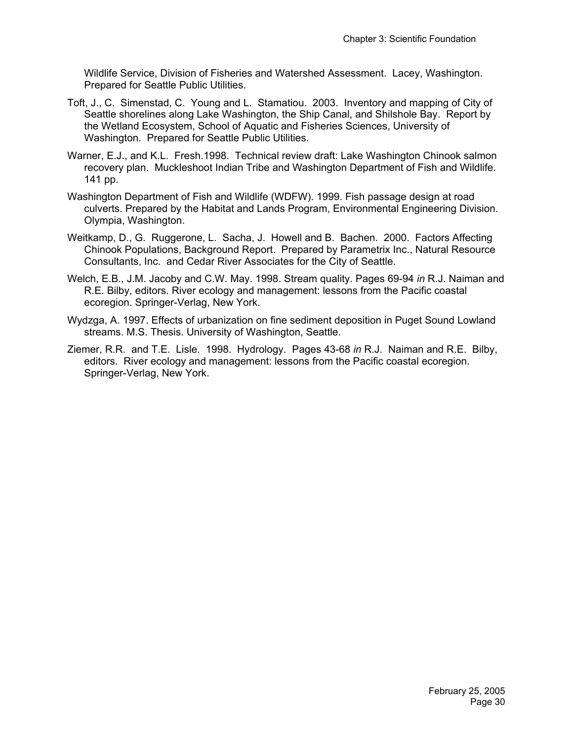Wildlife Service, Division of Fisheries and Watershed Assessment. Lacey, Washington. Prepared for Seattle Public Utilities.

- Toft, J., C. Simenstad, C. Young and L. Stamatiou. 2003. Inventory and mapping of City of Seattle shorelines along Lake Washington, the Ship Canal, and Shilshole Bay. Report by the Wetland Ecosystem, School of Aquatic and Fisheries Sciences, University of Washington. Prepared for Seattle Public Utilities.
- Warner, E.J., and K.L. Fresh.1998. Technical review draft: Lake Washington Chinook salmon recovery plan. Muckleshoot Indian Tribe and Washington Department of Fish and Wildlife. 141 pp.
- Washington Department of Fish and Wildlife (WDFW). 1999. Fish passage design at road culverts. Prepared by the Habitat and Lands Program, Environmental Engineering Division. Olympia, Washington.
- Weitkamp, D., G. Ruggerone, L. Sacha, J. Howell and B. Bachen. 2000. Factors Affecting Chinook Populations, Background Report. Prepared by Parametrix Inc., Natural Resource Consultants, Inc. and Cedar River Associates for the City of Seattle.
- Welch, E.B., J.M. Jacoby and C.W. May. 1998. Stream quality. Pages 69-94 *in* R.J. Naiman and R.E. Bilby, editors. River ecology and management: lessons from the Pacific coastal ecoregion. Springer-Verlag, New York.
- Wydzga, A. 1997. Effects of urbanization on fine sediment deposition in Puget Sound Lowland streams. M.S. Thesis. University of Washington, Seattle.
- Ziemer, R.R. and T.E. Lisle. 1998. Hydrology. Pages 43-68 *in* R.J. Naiman and R.E. Bilby, editors. River ecology and management: lessons from the Pacific coastal ecoregion. Springer-Verlag, New York.